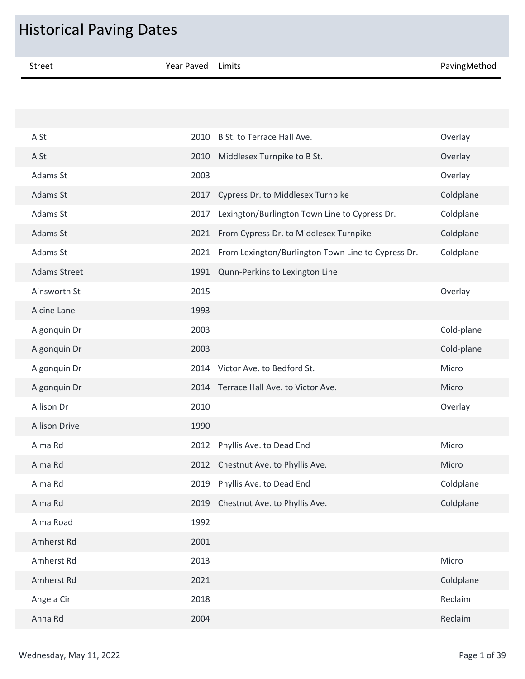| <b>Historical Paving Dates</b> |                   |                                                    |              |  |  |
|--------------------------------|-------------------|----------------------------------------------------|--------------|--|--|
| <b>Street</b>                  | <b>Year Paved</b> | Limits                                             | PavingMethod |  |  |
|                                |                   |                                                    |              |  |  |
|                                |                   |                                                    |              |  |  |
| A St                           | 2010              | B St. to Terrace Hall Ave.                         | Overlay      |  |  |
| A St                           | 2010              | Middlesex Turnpike to B St.                        | Overlay      |  |  |
| Adams St                       | 2003              |                                                    | Overlay      |  |  |
| Adams St                       | 2017              | Cypress Dr. to Middlesex Turnpike                  | Coldplane    |  |  |
| Adams St                       | 2017              | Lexington/Burlington Town Line to Cypress Dr.      | Coldplane    |  |  |
| Adams St                       | 2021              | From Cypress Dr. to Middlesex Turnpike             | Coldplane    |  |  |
| Adams St                       | 2021              | From Lexington/Burlington Town Line to Cypress Dr. | Coldplane    |  |  |
| <b>Adams Street</b>            | 1991              | Qunn-Perkins to Lexington Line                     |              |  |  |
| Ainsworth St                   | 2015              |                                                    | Overlay      |  |  |
| Alcine Lane                    | 1993              |                                                    |              |  |  |
| Algonquin Dr                   | 2003              |                                                    | Cold-plane   |  |  |
| Algonquin Dr                   | 2003              |                                                    | Cold-plane   |  |  |
| Algonquin Dr                   | 2014              | Victor Ave. to Bedford St.                         | Micro        |  |  |
| Algonquin Dr                   |                   | 2014 Terrace Hall Ave. to Victor Ave.              | Micro        |  |  |
| Allison Dr                     | 2010              |                                                    | Overlay      |  |  |
| <b>Allison Drive</b>           | 1990              |                                                    |              |  |  |
| Alma Rd                        | 2012              | Phyllis Ave. to Dead End                           | Micro        |  |  |
| Alma Rd                        | 2012              | Chestnut Ave. to Phyllis Ave.                      | Micro        |  |  |
| Alma Rd                        | 2019              | Phyllis Ave. to Dead End                           | Coldplane    |  |  |
| Alma Rd                        | 2019              | Chestnut Ave. to Phyllis Ave.                      | Coldplane    |  |  |
| Alma Road                      | 1992              |                                                    |              |  |  |
| Amherst Rd                     | 2001              |                                                    |              |  |  |
| Amherst Rd                     | 2013              |                                                    | Micro        |  |  |
| Amherst Rd                     | 2021              |                                                    | Coldplane    |  |  |
| Angela Cir                     | 2018              |                                                    | Reclaim      |  |  |
| Anna Rd                        | 2004              |                                                    | Reclaim      |  |  |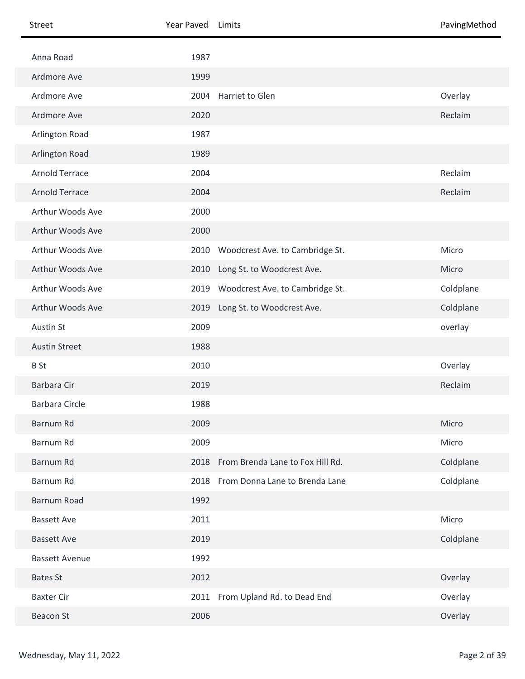| Street                | Year Paved | Limits                           | PavingMethod |
|-----------------------|------------|----------------------------------|--------------|
| Anna Road             | 1987       |                                  |              |
| Ardmore Ave           | 1999       |                                  |              |
| Ardmore Ave           | 2004       | Harriet to Glen                  | Overlay      |
| Ardmore Ave           | 2020       |                                  | Reclaim      |
| Arlington Road        | 1987       |                                  |              |
| Arlington Road        | 1989       |                                  |              |
| <b>Arnold Terrace</b> | 2004       |                                  | Reclaim      |
| <b>Arnold Terrace</b> | 2004       |                                  | Reclaim      |
| Arthur Woods Ave      | 2000       |                                  |              |
| Arthur Woods Ave      | 2000       |                                  |              |
| Arthur Woods Ave      | 2010       | Woodcrest Ave. to Cambridge St.  | Micro        |
| Arthur Woods Ave      | 2010       | Long St. to Woodcrest Ave.       | Micro        |
| Arthur Woods Ave      | 2019       | Woodcrest Ave. to Cambridge St.  | Coldplane    |
| Arthur Woods Ave      | 2019       | Long St. to Woodcrest Ave.       | Coldplane    |
| Austin St             | 2009       |                                  | overlay      |
| <b>Austin Street</b>  | 1988       |                                  |              |
| <b>B</b> St           | 2010       |                                  | Overlay      |
| Barbara Cir           | 2019       |                                  | Reclaim      |
| <b>Barbara Circle</b> | 1988       |                                  |              |
| Barnum Rd             | 2009       |                                  | Micro        |
| Barnum Rd             | 2009       |                                  | Micro        |
| Barnum Rd             | 2018       | From Brenda Lane to Fox Hill Rd. | Coldplane    |
| Barnum Rd             | 2018       | From Donna Lane to Brenda Lane   | Coldplane    |
| Barnum Road           | 1992       |                                  |              |
| <b>Bassett Ave</b>    | 2011       |                                  | Micro        |
| <b>Bassett Ave</b>    | 2019       |                                  | Coldplane    |
| <b>Bassett Avenue</b> | 1992       |                                  |              |
| <b>Bates St</b>       | 2012       |                                  | Overlay      |
| <b>Baxter Cir</b>     | 2011       | From Upland Rd. to Dead End      | Overlay      |
| <b>Beacon St</b>      | 2006       |                                  | Overlay      |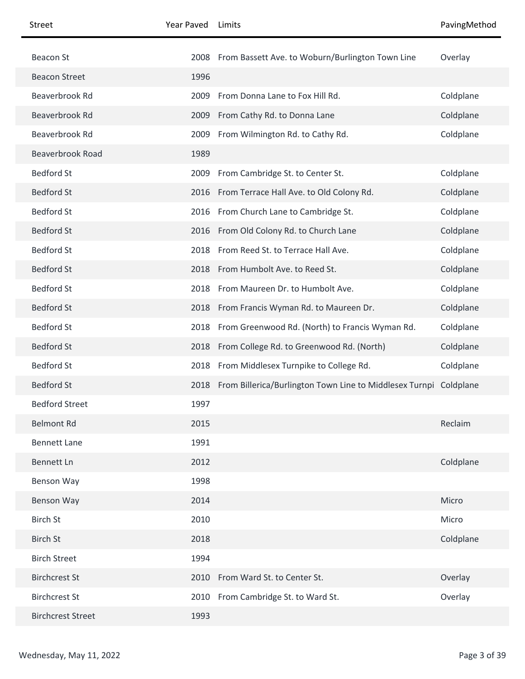| <b>Street</b>            | Year Paved | Limits                                                                 | PavingMethod |
|--------------------------|------------|------------------------------------------------------------------------|--------------|
| <b>Beacon St</b>         |            | 2008 From Bassett Ave. to Woburn/Burlington Town Line                  | Overlay      |
| <b>Beacon Street</b>     | 1996       |                                                                        |              |
| Beaverbrook Rd           | 2009       | From Donna Lane to Fox Hill Rd.                                        | Coldplane    |
| Beaverbrook Rd           | 2009       | From Cathy Rd. to Donna Lane                                           | Coldplane    |
| Beaverbrook Rd           | 2009       | From Wilmington Rd. to Cathy Rd.                                       | Coldplane    |
| <b>Beaverbrook Road</b>  | 1989       |                                                                        |              |
| <b>Bedford St</b>        | 2009       | From Cambridge St. to Center St.                                       | Coldplane    |
| <b>Bedford St</b>        |            | 2016 From Terrace Hall Ave. to Old Colony Rd.                          | Coldplane    |
| <b>Bedford St</b>        |            | 2016 From Church Lane to Cambridge St.                                 | Coldplane    |
| <b>Bedford St</b>        |            | 2016 From Old Colony Rd. to Church Lane                                | Coldplane    |
| <b>Bedford St</b>        |            | 2018 From Reed St. to Terrace Hall Ave.                                | Coldplane    |
| <b>Bedford St</b>        |            | 2018 From Humbolt Ave. to Reed St.                                     | Coldplane    |
| <b>Bedford St</b>        | 2018       | From Maureen Dr. to Humbolt Ave.                                       | Coldplane    |
| <b>Bedford St</b>        |            | 2018 From Francis Wyman Rd. to Maureen Dr.                             | Coldplane    |
| <b>Bedford St</b>        | 2018       | From Greenwood Rd. (North) to Francis Wyman Rd.                        | Coldplane    |
| <b>Bedford St</b>        |            | 2018 From College Rd. to Greenwood Rd. (North)                         | Coldplane    |
| <b>Bedford St</b>        |            | 2018 From Middlesex Turnpike to College Rd.                            | Coldplane    |
| <b>Bedford St</b>        |            | 2018 From Billerica/Burlington Town Line to Middlesex Turnpi Coldplane |              |
| <b>Bedford Street</b>    | 1997       |                                                                        |              |
| <b>Belmont Rd</b>        | 2015       |                                                                        | Reclaim      |
| <b>Bennett Lane</b>      | 1991       |                                                                        |              |
| <b>Bennett Ln</b>        | 2012       |                                                                        | Coldplane    |
| Benson Way               | 1998       |                                                                        |              |
| Benson Way               | 2014       |                                                                        | Micro        |
| <b>Birch St</b>          | 2010       |                                                                        | Micro        |
| <b>Birch St</b>          | 2018       |                                                                        | Coldplane    |
| <b>Birch Street</b>      | 1994       |                                                                        |              |
| <b>Birchcrest St</b>     |            | 2010 From Ward St. to Center St.                                       | Overlay      |
| <b>Birchcrest St</b>     |            | 2010 From Cambridge St. to Ward St.                                    | Overlay      |
| <b>Birchcrest Street</b> | 1993       |                                                                        |              |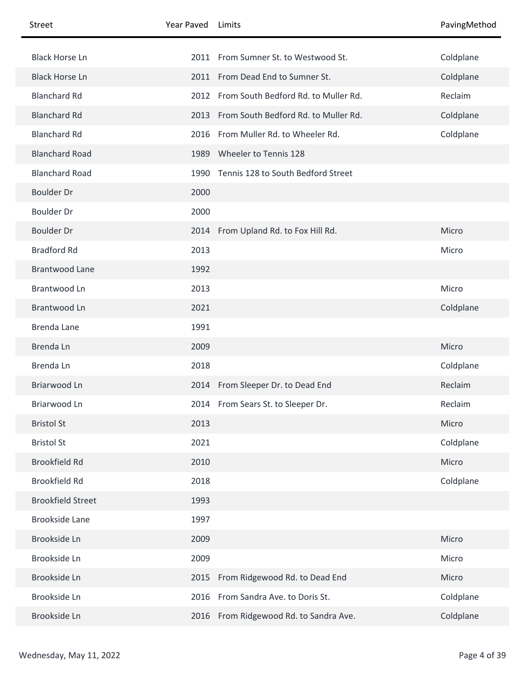| Street                   | Year Paved | Limits                                    | PavingMethod |
|--------------------------|------------|-------------------------------------------|--------------|
| <b>Black Horse Ln</b>    |            | 2011 From Sumner St. to Westwood St.      | Coldplane    |
| <b>Black Horse Ln</b>    |            | 2011 From Dead End to Sumner St.          | Coldplane    |
| <b>Blanchard Rd</b>      |            | 2012 From South Bedford Rd. to Muller Rd. | Reclaim      |
| <b>Blanchard Rd</b>      | 2013       | From South Bedford Rd. to Muller Rd.      | Coldplane    |
| <b>Blanchard Rd</b>      | 2016       | From Muller Rd. to Wheeler Rd.            | Coldplane    |
| <b>Blanchard Road</b>    | 1989       | Wheeler to Tennis 128                     |              |
| <b>Blanchard Road</b>    | 1990       | Tennis 128 to South Bedford Street        |              |
| <b>Boulder Dr</b>        | 2000       |                                           |              |
| <b>Boulder Dr</b>        | 2000       |                                           |              |
| <b>Boulder Dr</b>        |            | 2014 From Upland Rd. to Fox Hill Rd.      | Micro        |
| <b>Bradford Rd</b>       | 2013       |                                           | Micro        |
| <b>Brantwood Lane</b>    | 1992       |                                           |              |
| Brantwood Ln             | 2013       |                                           | Micro        |
| Brantwood Ln             | 2021       |                                           | Coldplane    |
| Brenda Lane              | 1991       |                                           |              |
| Brenda Ln                | 2009       |                                           | Micro        |
| Brenda Ln                | 2018       |                                           | Coldplane    |
| Briarwood Ln             |            | 2014 From Sleeper Dr. to Dead End         | Reclaim      |
| Briarwood Ln             |            | 2014 From Sears St. to Sleeper Dr.        | Reclaim      |
| <b>Bristol St</b>        | 2013       |                                           | Micro        |
| <b>Bristol St</b>        | 2021       |                                           | Coldplane    |
| <b>Brookfield Rd</b>     | 2010       |                                           | Micro        |
| <b>Brookfield Rd</b>     | 2018       |                                           | Coldplane    |
| <b>Brookfield Street</b> | 1993       |                                           |              |
| <b>Brookside Lane</b>    | 1997       |                                           |              |
| Brookside Ln             | 2009       |                                           | Micro        |
| Brookside Ln             | 2009       |                                           | Micro        |
| Brookside Ln             | 2015       | From Ridgewood Rd. to Dead End            | Micro        |
| Brookside Ln             | 2016       | From Sandra Ave. to Doris St.             | Coldplane    |
| Brookside Ln             |            | 2016 From Ridgewood Rd. to Sandra Ave.    | Coldplane    |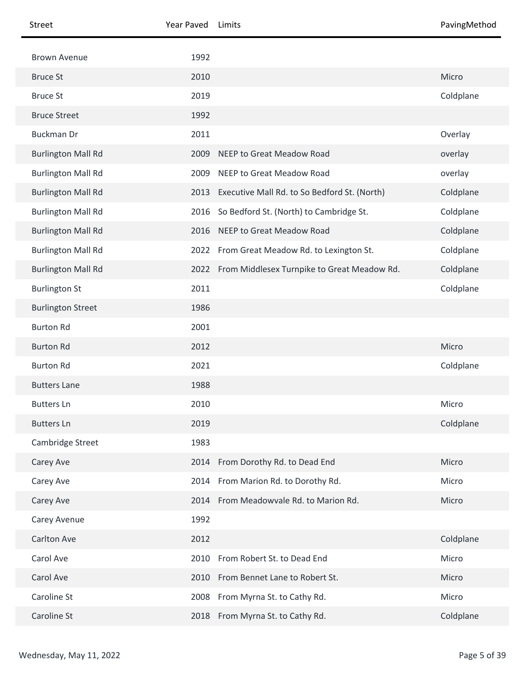| Street                    | Year Paved | Limits                                           | PavingMethod |
|---------------------------|------------|--------------------------------------------------|--------------|
| <b>Brown Avenue</b>       | 1992       |                                                  |              |
| <b>Bruce St</b>           | 2010       |                                                  | Micro        |
| <b>Bruce St</b>           | 2019       |                                                  | Coldplane    |
| <b>Bruce Street</b>       | 1992       |                                                  |              |
| <b>Buckman Dr</b>         | 2011       |                                                  | Overlay      |
| <b>Burlington Mall Rd</b> | 2009       | <b>NEEP to Great Meadow Road</b>                 | overlay      |
| <b>Burlington Mall Rd</b> | 2009       | NEEP to Great Meadow Road                        | overlay      |
| <b>Burlington Mall Rd</b> | 2013       | Executive Mall Rd. to So Bedford St. (North)     | Coldplane    |
| <b>Burlington Mall Rd</b> | 2016       | So Bedford St. (North) to Cambridge St.          | Coldplane    |
| <b>Burlington Mall Rd</b> | 2016       | NEEP to Great Meadow Road                        | Coldplane    |
| <b>Burlington Mall Rd</b> | 2022       | From Great Meadow Rd. to Lexington St.           | Coldplane    |
| <b>Burlington Mall Rd</b> |            | 2022 From Middlesex Turnpike to Great Meadow Rd. | Coldplane    |
| <b>Burlington St</b>      | 2011       |                                                  | Coldplane    |
| <b>Burlington Street</b>  | 1986       |                                                  |              |
| <b>Burton Rd</b>          | 2001       |                                                  |              |
| <b>Burton Rd</b>          | 2012       |                                                  | Micro        |
| <b>Burton Rd</b>          | 2021       |                                                  | Coldplane    |
| <b>Butters Lane</b>       | 1988       |                                                  |              |
| <b>Butters Ln</b>         | 2010       |                                                  | Micro        |
| <b>Butters Ln</b>         | 2019       |                                                  | Coldplane    |
| Cambridge Street          | 1983       |                                                  |              |
| Carey Ave                 | 2014       | From Dorothy Rd. to Dead End                     | Micro        |
| Carey Ave                 |            | 2014 From Marion Rd. to Dorothy Rd.              | Micro        |
| Carey Ave                 |            | 2014 From Meadowvale Rd. to Marion Rd.           | Micro        |
| Carey Avenue              | 1992       |                                                  |              |
| <b>Carlton Ave</b>        | 2012       |                                                  | Coldplane    |
| Carol Ave                 | 2010       | From Robert St. to Dead End                      | Micro        |
| Carol Ave                 | 2010       | From Bennet Lane to Robert St.                   | Micro        |
| Caroline St               | 2008       | From Myrna St. to Cathy Rd.                      | Micro        |
| Caroline St               | 2018       | From Myrna St. to Cathy Rd.                      | Coldplane    |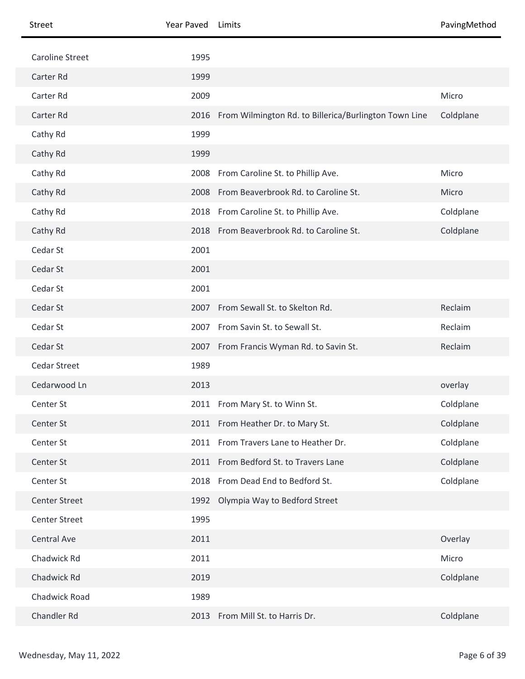| Street                 | Year Paved | Limits                                                | PavingMethod |
|------------------------|------------|-------------------------------------------------------|--------------|
| <b>Caroline Street</b> | 1995       |                                                       |              |
| Carter Rd              | 1999       |                                                       |              |
| Carter Rd              | 2009       |                                                       | Micro        |
| Carter Rd              | 2016       | From Wilmington Rd. to Billerica/Burlington Town Line | Coldplane    |
| Cathy Rd               | 1999       |                                                       |              |
| Cathy Rd               | 1999       |                                                       |              |
| Cathy Rd               |            | 2008 From Caroline St. to Phillip Ave.                | Micro        |
| Cathy Rd               |            | 2008 From Beaverbrook Rd. to Caroline St.             | Micro        |
| Cathy Rd               |            | 2018 From Caroline St. to Phillip Ave.                | Coldplane    |
| Cathy Rd               |            | 2018 From Beaverbrook Rd. to Caroline St.             | Coldplane    |
| Cedar St               | 2001       |                                                       |              |
| Cedar St               | 2001       |                                                       |              |
| Cedar St               | 2001       |                                                       |              |
| Cedar St               | 2007       | From Sewall St. to Skelton Rd.                        | Reclaim      |
| Cedar St               | 2007       | From Savin St. to Sewall St.                          | Reclaim      |
| Cedar St               |            | 2007 From Francis Wyman Rd. to Savin St.              | Reclaim      |
| <b>Cedar Street</b>    | 1989       |                                                       |              |
| Cedarwood Ln           | 2013       |                                                       | overlay      |
| Center St              |            | 2011 From Mary St. to Winn St.                        | Coldplane    |
| Center St              |            | 2011 From Heather Dr. to Mary St.                     | Coldplane    |
| Center St              |            | 2011 From Travers Lane to Heather Dr.                 | Coldplane    |
| Center St              |            | 2011 From Bedford St. to Travers Lane                 | Coldplane    |
| Center St              | 2018       | From Dead End to Bedford St.                          | Coldplane    |
| <b>Center Street</b>   |            | 1992 Olympia Way to Bedford Street                    |              |
| <b>Center Street</b>   | 1995       |                                                       |              |
| Central Ave            | 2011       |                                                       | Overlay      |
| Chadwick Rd            | 2011       |                                                       | Micro        |
| Chadwick Rd            | 2019       |                                                       | Coldplane    |
| Chadwick Road          | 1989       |                                                       |              |
| Chandler Rd            | 2013       | From Mill St. to Harris Dr.                           | Coldplane    |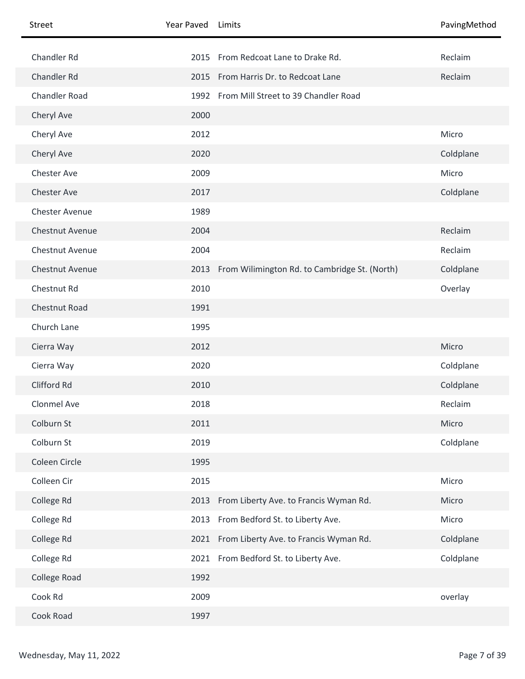| <b>Street</b>         | Year Paved | Limits                                             | PavingMethod |
|-----------------------|------------|----------------------------------------------------|--------------|
| Chandler Rd           | 2015       | From Redcoat Lane to Drake Rd.                     | Reclaim      |
| Chandler Rd           |            | 2015 From Harris Dr. to Redcoat Lane               | Reclaim      |
| <b>Chandler Road</b>  |            | 1992 From Mill Street to 39 Chandler Road          |              |
| Cheryl Ave            | 2000       |                                                    |              |
| Cheryl Ave            | 2012       |                                                    | Micro        |
| Cheryl Ave            | 2020       |                                                    | Coldplane    |
| <b>Chester Ave</b>    | 2009       |                                                    | Micro        |
| <b>Chester Ave</b>    | 2017       |                                                    | Coldplane    |
| <b>Chester Avenue</b> | 1989       |                                                    |              |
| Chestnut Avenue       | 2004       |                                                    | Reclaim      |
| Chestnut Avenue       | 2004       |                                                    | Reclaim      |
| Chestnut Avenue       |            | 2013 From Wilimington Rd. to Cambridge St. (North) | Coldplane    |
| Chestnut Rd           | 2010       |                                                    | Overlay      |
| Chestnut Road         | 1991       |                                                    |              |
| Church Lane           | 1995       |                                                    |              |
| Cierra Way            | 2012       |                                                    | Micro        |
| Cierra Way            | 2020       |                                                    | Coldplane    |
| Clifford Rd           | 2010       |                                                    | Coldplane    |
| Clonmel Ave           | 2018       |                                                    | Reclaim      |
| Colburn St            | 2011       |                                                    | Micro        |
| Colburn St            | 2019       |                                                    | Coldplane    |
| Coleen Circle         | 1995       |                                                    |              |
| Colleen Cir           | 2015       |                                                    | Micro        |
| College Rd            | 2013       | From Liberty Ave. to Francis Wyman Rd.             | Micro        |
| College Rd            | 2013       | From Bedford St. to Liberty Ave.                   | Micro        |
| College Rd            |            | 2021 From Liberty Ave. to Francis Wyman Rd.        | Coldplane    |
| College Rd            | 2021       | From Bedford St. to Liberty Ave.                   | Coldplane    |
| College Road          | 1992       |                                                    |              |
| Cook Rd               | 2009       |                                                    | overlay      |
| Cook Road             | 1997       |                                                    |              |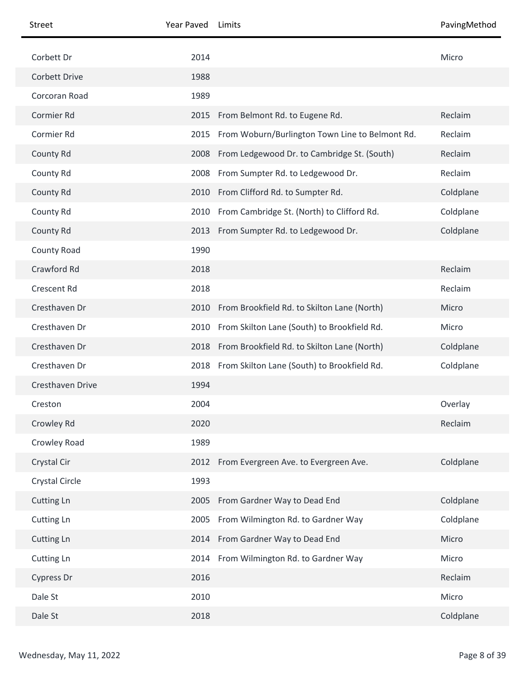| Street            | Year Paved | Limits                                           | PavingMethod |
|-------------------|------------|--------------------------------------------------|--------------|
| Corbett Dr        | 2014       |                                                  | Micro        |
| Corbett Drive     | 1988       |                                                  |              |
| Corcoran Road     | 1989       |                                                  |              |
| Cormier Rd        |            | 2015 From Belmont Rd. to Eugene Rd.              | Reclaim      |
| Cormier Rd        | 2015       | From Woburn/Burlington Town Line to Belmont Rd.  | Reclaim      |
| County Rd         | 2008       | From Ledgewood Dr. to Cambridge St. (South)      | Reclaim      |
| County Rd         |            | 2008 From Sumpter Rd. to Ledgewood Dr.           | Reclaim      |
| County Rd         |            | 2010 From Clifford Rd. to Sumpter Rd.            | Coldplane    |
| County Rd         | 2010       | From Cambridge St. (North) to Clifford Rd.       | Coldplane    |
| County Rd         |            | 2013 From Sumpter Rd. to Ledgewood Dr.           | Coldplane    |
| County Road       | 1990       |                                                  |              |
| Crawford Rd       | 2018       |                                                  | Reclaim      |
| Crescent Rd       | 2018       |                                                  | Reclaim      |
| Cresthaven Dr     | 2010       | From Brookfield Rd. to Skilton Lane (North)      | Micro        |
| Cresthaven Dr     | 2010       | From Skilton Lane (South) to Brookfield Rd.      | Micro        |
| Cresthaven Dr     |            | 2018 From Brookfield Rd. to Skilton Lane (North) | Coldplane    |
| Cresthaven Dr     | 2018       | From Skilton Lane (South) to Brookfield Rd.      | Coldplane    |
| Cresthaven Drive  | 1994       |                                                  |              |
| Creston           | 2004       |                                                  | Overlay      |
| Crowley Rd        | 2020       |                                                  | Reclaim      |
| Crowley Road      | 1989       |                                                  |              |
| Crystal Cir       | 2012       | From Evergreen Ave. to Evergreen Ave.            | Coldplane    |
| Crystal Circle    | 1993       |                                                  |              |
| <b>Cutting Ln</b> | 2005       | From Gardner Way to Dead End                     | Coldplane    |
| Cutting Ln        | 2005       | From Wilmington Rd. to Gardner Way               | Coldplane    |
| <b>Cutting Ln</b> |            | 2014 From Gardner Way to Dead End                | Micro        |
| Cutting Ln        |            | 2014 From Wilmington Rd. to Gardner Way          | Micro        |
| Cypress Dr        | 2016       |                                                  | Reclaim      |
| Dale St           | 2010       |                                                  | Micro        |
| Dale St           | 2018       |                                                  | Coldplane    |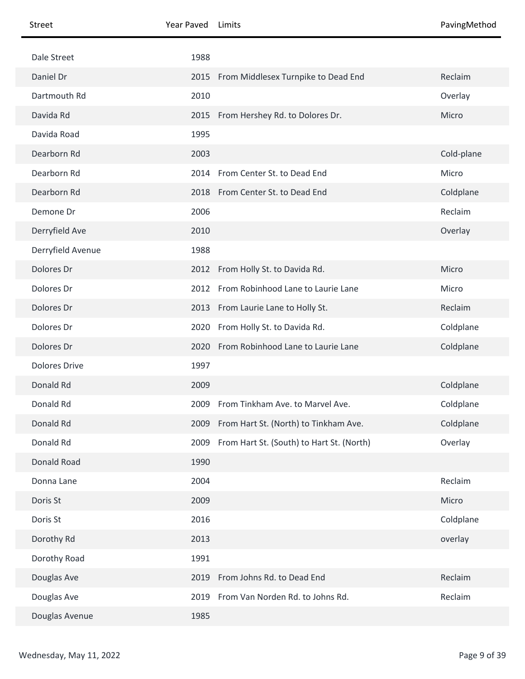| <b>Street</b>        | Year Paved | Limits                                     | PavingMethod |
|----------------------|------------|--------------------------------------------|--------------|
| Dale Street          | 1988       |                                            |              |
| Daniel Dr            |            | 2015 From Middlesex Turnpike to Dead End   | Reclaim      |
| Dartmouth Rd         | 2010       |                                            | Overlay      |
| Davida Rd            |            | 2015 From Hershey Rd. to Dolores Dr.       | Micro        |
| Davida Road          | 1995       |                                            |              |
| Dearborn Rd          | 2003       |                                            | Cold-plane   |
| Dearborn Rd          | 2014       | From Center St. to Dead End                | Micro        |
| Dearborn Rd          |            | 2018 From Center St. to Dead End           | Coldplane    |
| Demone Dr            | 2006       |                                            | Reclaim      |
| Derryfield Ave       | 2010       |                                            | Overlay      |
| Derryfield Avenue    | 1988       |                                            |              |
| Dolores Dr           |            | 2012 From Holly St. to Davida Rd.          | Micro        |
| Dolores Dr           | 2012       | From Robinhood Lane to Laurie Lane         | Micro        |
| Dolores Dr           |            | 2013 From Laurie Lane to Holly St.         | Reclaim      |
| Dolores Dr           |            | 2020 From Holly St. to Davida Rd.          | Coldplane    |
| Dolores Dr           |            | 2020 From Robinhood Lane to Laurie Lane    | Coldplane    |
| <b>Dolores Drive</b> | 1997       |                                            |              |
| Donald Rd            | 2009       |                                            | Coldplane    |
| Donald Rd            |            | 2009 From Tinkham Ave. to Marvel Ave.      | Coldplane    |
| Donald Rd            |            | 2009 From Hart St. (North) to Tinkham Ave. | Coldplane    |
| Donald Rd            | 2009       | From Hart St. (South) to Hart St. (North)  | Overlay      |
| Donald Road          | 1990       |                                            |              |
| Donna Lane           | 2004       |                                            | Reclaim      |
| Doris St             | 2009       |                                            | Micro        |
| Doris St             | 2016       |                                            | Coldplane    |
| Dorothy Rd           | 2013       |                                            | overlay      |
| Dorothy Road         | 1991       |                                            |              |
| Douglas Ave          | 2019       | From Johns Rd. to Dead End                 | Reclaim      |
| Douglas Ave          | 2019       | From Van Norden Rd. to Johns Rd.           | Reclaim      |
| Douglas Avenue       | 1985       |                                            |              |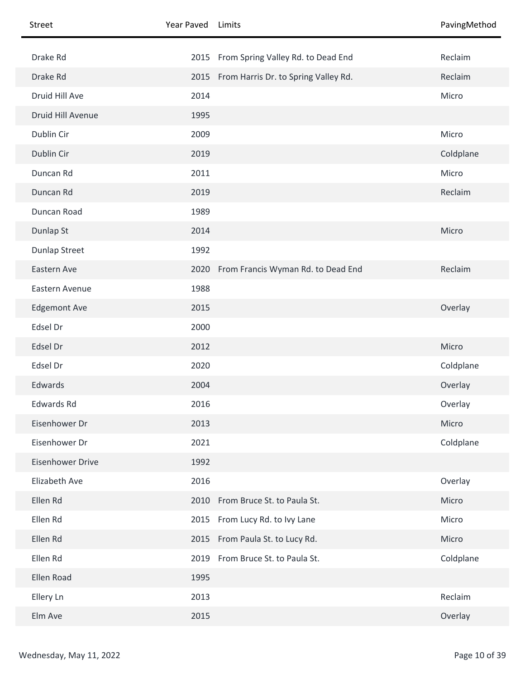| Street                  | Year Paved Limits |                                           | PavingMethod |
|-------------------------|-------------------|-------------------------------------------|--------------|
| Drake Rd                |                   | 2015 From Spring Valley Rd. to Dead End   | Reclaim      |
| Drake Rd                |                   | 2015 From Harris Dr. to Spring Valley Rd. | Reclaim      |
| Druid Hill Ave          | 2014              |                                           | Micro        |
| Druid Hill Avenue       | 1995              |                                           |              |
| Dublin Cir              | 2009              |                                           | Micro        |
| Dublin Cir              | 2019              |                                           | Coldplane    |
| Duncan Rd               | 2011              |                                           | Micro        |
| Duncan Rd               | 2019              |                                           | Reclaim      |
| Duncan Road             | 1989              |                                           |              |
| Dunlap St               | 2014              |                                           | Micro        |
| <b>Dunlap Street</b>    | 1992              |                                           |              |
| Eastern Ave             |                   | 2020 From Francis Wyman Rd. to Dead End   | Reclaim      |
| Eastern Avenue          | 1988              |                                           |              |
| <b>Edgemont Ave</b>     | 2015              |                                           | Overlay      |
| Edsel Dr                | 2000              |                                           |              |
| Edsel Dr                | 2012              |                                           | Micro        |
| Edsel Dr                | 2020              |                                           | Coldplane    |
| Edwards                 | 2004              |                                           | Overlay      |
| Edwards Rd              | 2016              |                                           | Overlay      |
| Eisenhower Dr           | 2013              |                                           | Micro        |
| Eisenhower Dr           | 2021              |                                           | Coldplane    |
| <b>Eisenhower Drive</b> | 1992              |                                           |              |
| Elizabeth Ave           | 2016              |                                           | Overlay      |
| Ellen Rd                | 2010              | From Bruce St. to Paula St.               | Micro        |
| Ellen Rd                |                   | 2015 From Lucy Rd. to Ivy Lane            | Micro        |
| Ellen Rd                |                   | 2015 From Paula St. to Lucy Rd.           | Micro        |
| Ellen Rd                |                   | 2019 From Bruce St. to Paula St.          | Coldplane    |
| Ellen Road              | 1995              |                                           |              |
| Ellery Ln               | 2013              |                                           | Reclaim      |
| Elm Ave                 | 2015              |                                           | Overlay      |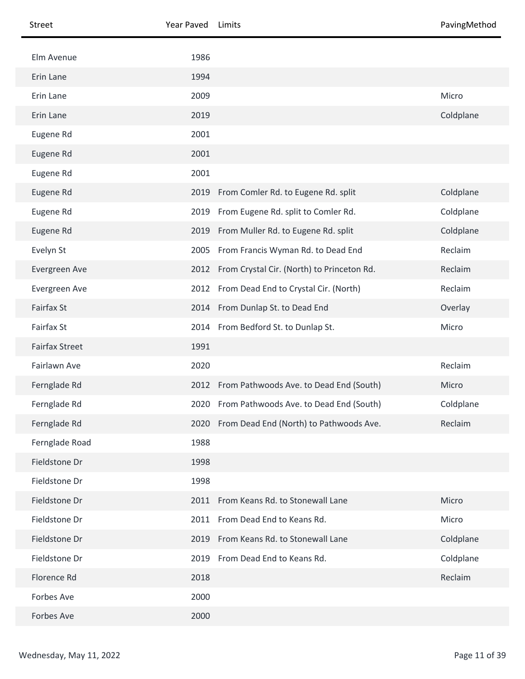| Street                | Year Paved | Limits                                          | PavingMethod |
|-----------------------|------------|-------------------------------------------------|--------------|
| Elm Avenue            | 1986       |                                                 |              |
| Erin Lane             | 1994       |                                                 |              |
| Erin Lane             | 2009       |                                                 | Micro        |
| Erin Lane             | 2019       |                                                 | Coldplane    |
| Eugene Rd             | 2001       |                                                 |              |
| Eugene Rd             | 2001       |                                                 |              |
| Eugene Rd             | 2001       |                                                 |              |
| Eugene Rd             |            | 2019 From Comler Rd. to Eugene Rd. split        | Coldplane    |
| Eugene Rd             | 2019       | From Eugene Rd. split to Comler Rd.             | Coldplane    |
| Eugene Rd             | 2019       | From Muller Rd. to Eugene Rd. split             | Coldplane    |
| Evelyn St             |            | 2005 From Francis Wyman Rd. to Dead End         | Reclaim      |
| Evergreen Ave         |            | 2012 From Crystal Cir. (North) to Princeton Rd. | Reclaim      |
| Evergreen Ave         |            | 2012 From Dead End to Crystal Cir. (North)      | Reclaim      |
| <b>Fairfax St</b>     |            | 2014 From Dunlap St. to Dead End                | Overlay      |
| Fairfax St            |            | 2014 From Bedford St. to Dunlap St.             | Micro        |
| <b>Fairfax Street</b> | 1991       |                                                 |              |
| Fairlawn Ave          | 2020       |                                                 | Reclaim      |
| Fernglade Rd          |            | 2012 From Pathwoods Ave. to Dead End (South)    | Micro        |
| Fernglade Rd          |            | 2020 From Pathwoods Ave. to Dead End (South)    | Coldplane    |
| Fernglade Rd          |            | 2020 From Dead End (North) to Pathwoods Ave.    | Reclaim      |
| Fernglade Road        | 1988       |                                                 |              |
| Fieldstone Dr         | 1998       |                                                 |              |
| Fieldstone Dr         | 1998       |                                                 |              |
| Fieldstone Dr         |            | 2011 From Keans Rd. to Stonewall Lane           | Micro        |
| Fieldstone Dr         |            | 2011 From Dead End to Keans Rd.                 | Micro        |
| Fieldstone Dr         | 2019       | From Keans Rd. to Stonewall Lane                | Coldplane    |
| Fieldstone Dr         | 2019       | From Dead End to Keans Rd.                      | Coldplane    |
| Florence Rd           | 2018       |                                                 | Reclaim      |
| Forbes Ave            | 2000       |                                                 |              |
| Forbes Ave            | 2000       |                                                 |              |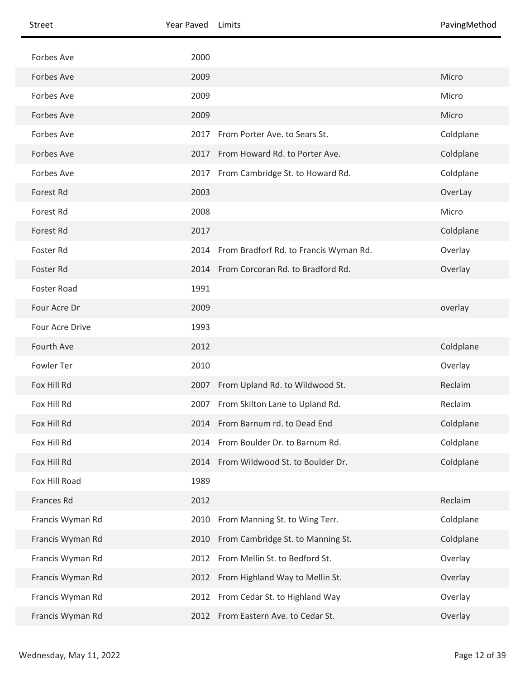| Street           | Year Paved | Limits                                 | PavingMethod |
|------------------|------------|----------------------------------------|--------------|
| Forbes Ave       | 2000       |                                        |              |
| Forbes Ave       | 2009       |                                        | Micro        |
| Forbes Ave       | 2009       |                                        | Micro        |
| Forbes Ave       | 2009       |                                        | Micro        |
| Forbes Ave       | 2017       | From Porter Ave. to Sears St.          | Coldplane    |
| Forbes Ave       | 2017       | From Howard Rd. to Porter Ave.         | Coldplane    |
| Forbes Ave       |            | 2017 From Cambridge St. to Howard Rd.  | Coldplane    |
| Forest Rd        | 2003       |                                        | OverLay      |
| Forest Rd        | 2008       |                                        | Micro        |
| <b>Forest Rd</b> | 2017       |                                        | Coldplane    |
| Foster Rd        | 2014       | From Bradforf Rd. to Francis Wyman Rd. | Overlay      |
| Foster Rd        |            | 2014 From Corcoran Rd. to Bradford Rd. | Overlay      |
| Foster Road      | 1991       |                                        |              |
| Four Acre Dr     | 2009       |                                        | overlay      |
| Four Acre Drive  | 1993       |                                        |              |
| Fourth Ave       | 2012       |                                        | Coldplane    |
| Fowler Ter       | 2010       |                                        | Overlay      |
| Fox Hill Rd      |            | 2007 From Upland Rd. to Wildwood St.   | Reclaim      |
| Fox Hill Rd      |            | 2007 From Skilton Lane to Upland Rd.   | Reclaim      |
| Fox Hill Rd      |            | 2014 From Barnum rd. to Dead End       | Coldplane    |
| Fox Hill Rd      |            | 2014 From Boulder Dr. to Barnum Rd.    | Coldplane    |
| Fox Hill Rd      | 2014       | From Wildwood St. to Boulder Dr.       | Coldplane    |
| Fox Hill Road    | 1989       |                                        |              |
| Frances Rd       | 2012       |                                        | Reclaim      |
| Francis Wyman Rd | 2010       | From Manning St. to Wing Terr.         | Coldplane    |
| Francis Wyman Rd | 2010       | From Cambridge St. to Manning St.      | Coldplane    |
| Francis Wyman Rd | 2012       | From Mellin St. to Bedford St.         | Overlay      |
| Francis Wyman Rd |            | 2012 From Highland Way to Mellin St.   | Overlay      |
| Francis Wyman Rd | 2012       | From Cedar St. to Highland Way         | Overlay      |
| Francis Wyman Rd |            | 2012 From Eastern Ave. to Cedar St.    | Overlay      |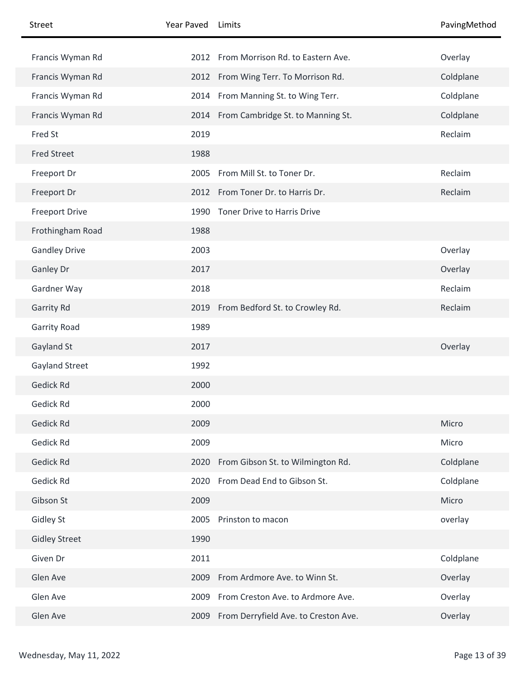| Street                | Year Paved | Limits                                    | PavingMethod |
|-----------------------|------------|-------------------------------------------|--------------|
| Francis Wyman Rd      |            | 2012 From Morrison Rd. to Eastern Ave.    | Overlay      |
| Francis Wyman Rd      |            | 2012 From Wing Terr. To Morrison Rd.      | Coldplane    |
| Francis Wyman Rd      |            | 2014 From Manning St. to Wing Terr.       | Coldplane    |
| Francis Wyman Rd      |            | 2014 From Cambridge St. to Manning St.    | Coldplane    |
| Fred St               | 2019       |                                           | Reclaim      |
| <b>Fred Street</b>    | 1988       |                                           |              |
| Freeport Dr           | 2005       | From Mill St. to Toner Dr.                | Reclaim      |
| Freeport Dr           |            | 2012 From Toner Dr. to Harris Dr.         | Reclaim      |
| <b>Freeport Drive</b> | 1990       | Toner Drive to Harris Drive               |              |
| Frothingham Road      | 1988       |                                           |              |
| <b>Gandley Drive</b>  | 2003       |                                           | Overlay      |
| Ganley Dr             | 2017       |                                           | Overlay      |
| Gardner Way           | 2018       |                                           | Reclaim      |
| Garrity Rd            |            | 2019 From Bedford St. to Crowley Rd.      | Reclaim      |
| <b>Garrity Road</b>   | 1989       |                                           |              |
| Gayland St            | 2017       |                                           | Overlay      |
| Gayland Street        | 1992       |                                           |              |
| Gedick Rd             | 2000       |                                           |              |
| Gedick Rd             | 2000       |                                           |              |
| <b>Gedick Rd</b>      | 2009       |                                           | Micro        |
| Gedick Rd             | 2009       |                                           | Micro        |
| Gedick Rd             | 2020       | From Gibson St. to Wilmington Rd.         | Coldplane    |
| Gedick Rd             |            | 2020 From Dead End to Gibson St.          | Coldplane    |
| Gibson St             | 2009       |                                           | Micro        |
| <b>Gidley St</b>      | 2005       | Prinston to macon                         | overlay      |
| <b>Gidley Street</b>  | 1990       |                                           |              |
| Given Dr              | 2011       |                                           | Coldplane    |
| Glen Ave              |            | 2009 From Ardmore Ave. to Winn St.        | Overlay      |
| Glen Ave              | 2009       | From Creston Ave. to Ardmore Ave.         | Overlay      |
| Glen Ave              |            | 2009 From Derryfield Ave. to Creston Ave. | Overlay      |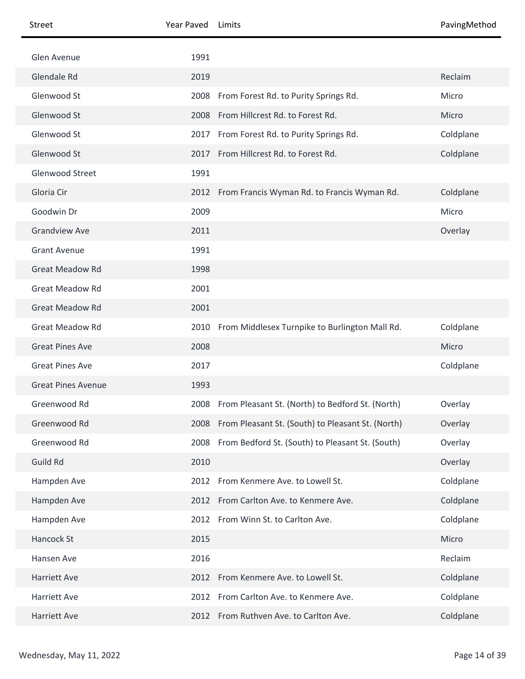| Street                    | Year Paved | Limits                                                 | PavingMethod |
|---------------------------|------------|--------------------------------------------------------|--------------|
| Glen Avenue               | 1991       |                                                        |              |
| Glendale Rd               | 2019       |                                                        | Reclaim      |
| Glenwood St               | 2008       | From Forest Rd. to Purity Springs Rd.                  | Micro        |
| Glenwood St               | 2008       | From Hillcrest Rd. to Forest Rd.                       | Micro        |
| Glenwood St               | 2017       | From Forest Rd. to Purity Springs Rd.                  | Coldplane    |
| Glenwood St               |            | 2017 From Hillcrest Rd. to Forest Rd.                  | Coldplane    |
| Glenwood Street           | 1991       |                                                        |              |
| Gloria Cir                |            | 2012 From Francis Wyman Rd. to Francis Wyman Rd.       | Coldplane    |
| Goodwin Dr                | 2009       |                                                        | Micro        |
| <b>Grandview Ave</b>      | 2011       |                                                        | Overlay      |
| <b>Grant Avenue</b>       | 1991       |                                                        |              |
| <b>Great Meadow Rd</b>    | 1998       |                                                        |              |
| <b>Great Meadow Rd</b>    | 2001       |                                                        |              |
| <b>Great Meadow Rd</b>    | 2001       |                                                        |              |
| <b>Great Meadow Rd</b>    |            | 2010 From Middlesex Turnpike to Burlington Mall Rd.    | Coldplane    |
| <b>Great Pines Ave</b>    | 2008       |                                                        | Micro        |
| <b>Great Pines Ave</b>    | 2017       |                                                        | Coldplane    |
| <b>Great Pines Avenue</b> | 1993       |                                                        |              |
| Greenwood Rd              |            | 2008 From Pleasant St. (North) to Bedford St. (North)  | Overlay      |
| Greenwood Rd              |            | 2008 From Pleasant St. (South) to Pleasant St. (North) | Overlay      |
| Greenwood Rd              |            | 2008 From Bedford St. (South) to Pleasant St. (South)  | Overlay      |
| Guild Rd                  | 2010       |                                                        | Overlay      |
| Hampden Ave               |            | 2012 From Kenmere Ave. to Lowell St.                   | Coldplane    |
| Hampden Ave               |            | 2012 From Carlton Ave. to Kenmere Ave.                 | Coldplane    |
| Hampden Ave               |            | 2012 From Winn St. to Carlton Ave.                     | Coldplane    |
| Hancock St                | 2015       |                                                        | Micro        |
| Hansen Ave                | 2016       |                                                        | Reclaim      |
| <b>Harriett Ave</b>       |            | 2012 From Kenmere Ave. to Lowell St.                   | Coldplane    |
| Harriett Ave              |            | 2012 From Carlton Ave. to Kenmere Ave.                 | Coldplane    |
| Harriett Ave              |            | 2012 From Ruthven Ave. to Carlton Ave.                 | Coldplane    |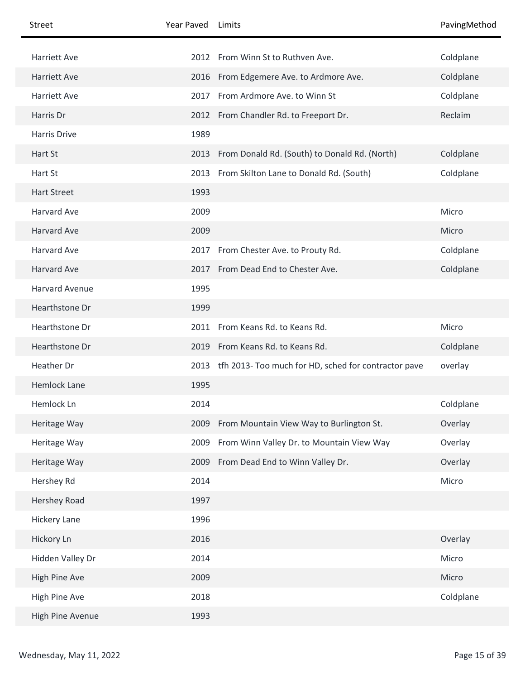| Street                | Year Paved | Limits                                                    | PavingMethod |
|-----------------------|------------|-----------------------------------------------------------|--------------|
| <b>Harriett Ave</b>   |            | 2012 From Winn St to Ruthven Ave.                         | Coldplane    |
| <b>Harriett Ave</b>   |            | 2016 From Edgemere Ave. to Ardmore Ave.                   | Coldplane    |
| Harriett Ave          | 2017       | From Ardmore Ave. to Winn St                              | Coldplane    |
| Harris Dr             |            |                                                           | Reclaim      |
|                       |            | 2012 From Chandler Rd. to Freeport Dr.                    |              |
| Harris Drive          | 1989       |                                                           |              |
| Hart St               | 2013       | From Donald Rd. (South) to Donald Rd. (North)             | Coldplane    |
| Hart St               |            | 2013 From Skilton Lane to Donald Rd. (South)              | Coldplane    |
| <b>Hart Street</b>    | 1993       |                                                           |              |
| Harvard Ave           | 2009       |                                                           | Micro        |
| <b>Harvard Ave</b>    | 2009       |                                                           | Micro        |
| <b>Harvard Ave</b>    |            | 2017 From Chester Ave. to Prouty Rd.                      | Coldplane    |
| <b>Harvard Ave</b>    |            | 2017 From Dead End to Chester Ave.                        | Coldplane    |
| <b>Harvard Avenue</b> | 1995       |                                                           |              |
| Hearthstone Dr        | 1999       |                                                           |              |
| Hearthstone Dr        | 2011       | From Keans Rd. to Keans Rd.                               | Micro        |
| Hearthstone Dr        | 2019       | From Keans Rd. to Keans Rd.                               | Coldplane    |
| Heather Dr            |            | 2013 tfh 2013- Too much for HD, sched for contractor pave | overlay      |
| <b>Hemlock Lane</b>   | 1995       |                                                           |              |
| Hemlock Ln            | 2014       |                                                           | Coldplane    |
| Heritage Way          | 2009       | From Mountain View Way to Burlington St.                  | Overlay      |
| Heritage Way          | 2009       | From Winn Valley Dr. to Mountain View Way                 | Overlay      |
| Heritage Way          |            | 2009 From Dead End to Winn Valley Dr.                     | Overlay      |
| Hershey Rd            | 2014       |                                                           | Micro        |
| Hershey Road          | 1997       |                                                           |              |
| <b>Hickery Lane</b>   | 1996       |                                                           |              |
| Hickory Ln            | 2016       |                                                           | Overlay      |
| Hidden Valley Dr      | 2014       |                                                           | Micro        |
| High Pine Ave         | 2009       |                                                           | Micro        |
| High Pine Ave         | 2018       |                                                           | Coldplane    |
| High Pine Avenue      | 1993       |                                                           |              |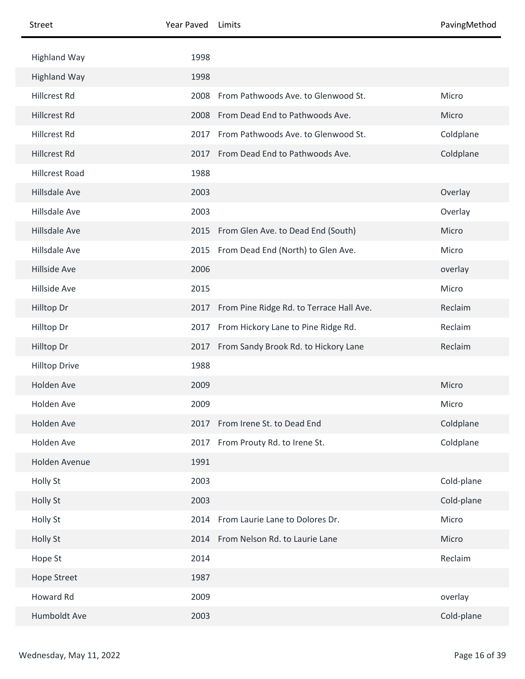| <b>Street</b>         | Year Paved | Limits                                   | PavingMethod |
|-----------------------|------------|------------------------------------------|--------------|
| <b>Highland Way</b>   | 1998       |                                          |              |
| <b>Highland Way</b>   | 1998       |                                          |              |
| Hillcrest Rd          | 2008       | From Pathwoods Ave. to Glenwood St.      | Micro        |
| <b>Hillcrest Rd</b>   | 2008       | From Dead End to Pathwoods Ave.          | Micro        |
| Hillcrest Rd          | 2017       | From Pathwoods Ave. to Glenwood St.      | Coldplane    |
| <b>Hillcrest Rd</b>   | 2017       | From Dead End to Pathwoods Ave.          | Coldplane    |
| <b>Hillcrest Road</b> | 1988       |                                          |              |
| Hillsdale Ave         | 2003       |                                          | Overlay      |
| Hillsdale Ave         | 2003       |                                          | Overlay      |
| Hillsdale Ave         | 2015       | From Glen Ave. to Dead End (South)       | Micro        |
| Hillsdale Ave         | 2015       | From Dead End (North) to Glen Ave.       | Micro        |
| Hillside Ave          | 2006       |                                          | overlay      |
| Hillside Ave          | 2015       |                                          | Micro        |
| Hilltop Dr            | 2017       | From Pine Ridge Rd. to Terrace Hall Ave. | Reclaim      |
| Hilltop Dr            | 2017       | From Hickory Lane to Pine Ridge Rd.      | Reclaim      |
| Hilltop Dr            | 2017       | From Sandy Brook Rd. to Hickory Lane     | Reclaim      |
| <b>Hilltop Drive</b>  | 1988       |                                          |              |
| Holden Ave            | 2009       |                                          | Micro        |
| Holden Ave            | 2009       |                                          | Micro        |
| Holden Ave            | 2017       | From Irene St. to Dead End               | Coldplane    |
| Holden Ave            | 2017       | From Prouty Rd. to Irene St.             | Coldplane    |
| Holden Avenue         | 1991       |                                          |              |
| Holly St              | 2003       |                                          | Cold-plane   |
| Holly St              | 2003       |                                          | Cold-plane   |
| Holly St              | 2014       | From Laurie Lane to Dolores Dr.          | Micro        |
| Holly St              | 2014       | From Nelson Rd. to Laurie Lane           | Micro        |
| Hope St               | 2014       |                                          | Reclaim      |
| <b>Hope Street</b>    | 1987       |                                          |              |
| Howard Rd             | 2009       |                                          | overlay      |
| Humboldt Ave          | 2003       |                                          | Cold-plane   |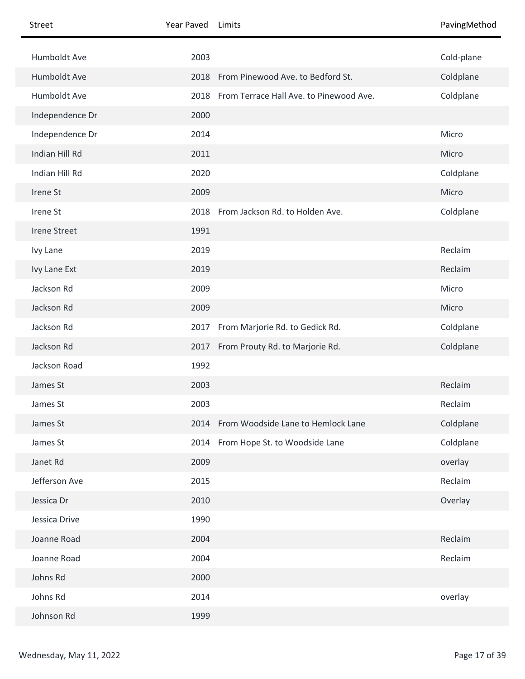| Street              | Year Paved | Limits                                       | PavingMethod |
|---------------------|------------|----------------------------------------------|--------------|
| Humboldt Ave        | 2003       |                                              | Cold-plane   |
| Humboldt Ave        |            | 2018 From Pinewood Ave. to Bedford St.       | Coldplane    |
| Humboldt Ave        |            | 2018 From Terrace Hall Ave. to Pinewood Ave. | Coldplane    |
| Independence Dr     | 2000       |                                              |              |
| Independence Dr     | 2014       |                                              | Micro        |
| Indian Hill Rd      | 2011       |                                              | Micro        |
| Indian Hill Rd      | 2020       |                                              | Coldplane    |
| Irene St            | 2009       |                                              | Micro        |
| Irene St            |            | 2018 From Jackson Rd. to Holden Ave.         | Coldplane    |
| <b>Irene Street</b> | 1991       |                                              |              |
| Ivy Lane            | 2019       |                                              | Reclaim      |
| Ivy Lane Ext        | 2019       |                                              | Reclaim      |
| Jackson Rd          | 2009       |                                              | Micro        |
| Jackson Rd          | 2009       |                                              | Micro        |
| Jackson Rd          | 2017       | From Marjorie Rd. to Gedick Rd.              | Coldplane    |
| Jackson Rd          |            | 2017 From Prouty Rd. to Marjorie Rd.         | Coldplane    |
| Jackson Road        | 1992       |                                              |              |
| James St            | 2003       |                                              | Reclaim      |
| James St            | 2003       |                                              | Reclaim      |
| James St            |            | 2014 From Woodside Lane to Hemlock Lane      | Coldplane    |
| James St            |            | 2014 From Hope St. to Woodside Lane          | Coldplane    |
| Janet Rd            | 2009       |                                              | overlay      |
| Jefferson Ave       | 2015       |                                              | Reclaim      |
| Jessica Dr          | 2010       |                                              | Overlay      |
| Jessica Drive       | 1990       |                                              |              |
| Joanne Road         | 2004       |                                              | Reclaim      |
| Joanne Road         | 2004       |                                              | Reclaim      |
| Johns Rd            | 2000       |                                              |              |
| Johns Rd            | 2014       |                                              | overlay      |
| Johnson Rd          | 1999       |                                              |              |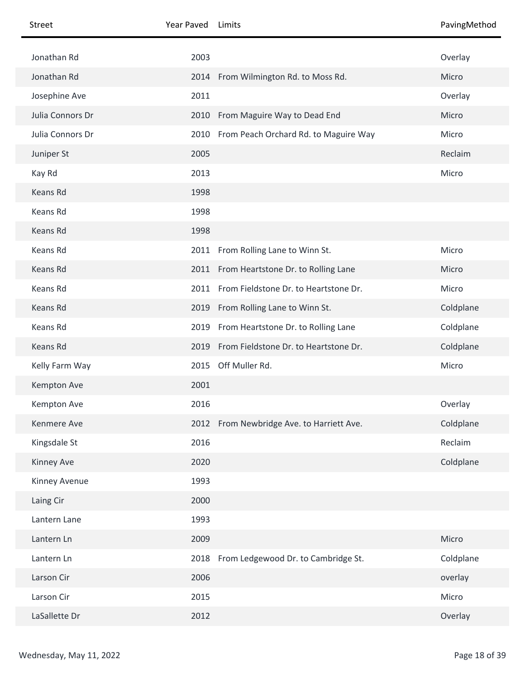| <b>Street</b>    | Year Paved | Limits                                     | PavingMethod |
|------------------|------------|--------------------------------------------|--------------|
| Jonathan Rd      | 2003       |                                            | Overlay      |
| Jonathan Rd      |            | 2014 From Wilmington Rd. to Moss Rd.       | Micro        |
| Josephine Ave    | 2011       |                                            | Overlay      |
| Julia Connors Dr |            | 2010 From Maguire Way to Dead End          | Micro        |
| Julia Connors Dr |            | 2010 From Peach Orchard Rd. to Maguire Way | Micro        |
| Juniper St       | 2005       |                                            | Reclaim      |
| Kay Rd           | 2013       |                                            | Micro        |
| Keans Rd         | 1998       |                                            |              |
| Keans Rd         | 1998       |                                            |              |
| Keans Rd         | 1998       |                                            |              |
| Keans Rd         |            | 2011 From Rolling Lane to Winn St.         | Micro        |
| Keans Rd         |            | 2011 From Heartstone Dr. to Rolling Lane   | Micro        |
| Keans Rd         | 2011       | From Fieldstone Dr. to Heartstone Dr.      | Micro        |
| Keans Rd         |            | 2019 From Rolling Lane to Winn St.         | Coldplane    |
| Keans Rd         |            | 2019 From Heartstone Dr. to Rolling Lane   | Coldplane    |
| Keans Rd         |            | 2019 From Fieldstone Dr. to Heartstone Dr. | Coldplane    |
| Kelly Farm Way   | 2015       | Off Muller Rd.                             | Micro        |
| Kempton Ave      | 2001       |                                            |              |
| Kempton Ave      | 2016       |                                            | Overlay      |
| Kenmere Ave      |            | 2012 From Newbridge Ave. to Harriett Ave.  | Coldplane    |
| Kingsdale St     | 2016       |                                            | Reclaim      |
| Kinney Ave       | 2020       |                                            | Coldplane    |
| Kinney Avenue    | 1993       |                                            |              |
| Laing Cir        | 2000       |                                            |              |
| Lantern Lane     | 1993       |                                            |              |
| Lantern Ln       | 2009       |                                            | Micro        |
| Lantern Ln       | 2018       | From Ledgewood Dr. to Cambridge St.        | Coldplane    |
| Larson Cir       | 2006       |                                            | overlay      |
| Larson Cir       | 2015       |                                            | Micro        |
| LaSallette Dr    | 2012       |                                            | Overlay      |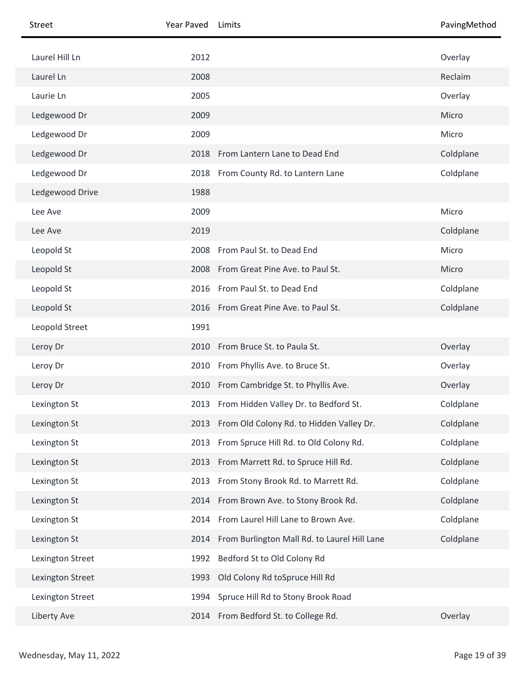| Street           | Year Paved | Limits                                        | PavingMethod |
|------------------|------------|-----------------------------------------------|--------------|
| Laurel Hill Ln   | 2012       |                                               | Overlay      |
| Laurel Ln        | 2008       |                                               | Reclaim      |
| Laurie Ln        | 2005       |                                               | Overlay      |
| Ledgewood Dr     | 2009       |                                               | Micro        |
| Ledgewood Dr     | 2009       |                                               | Micro        |
| Ledgewood Dr     | 2018       | From Lantern Lane to Dead End                 | Coldplane    |
| Ledgewood Dr     | 2018       | From County Rd. to Lantern Lane               | Coldplane    |
| Ledgewood Drive  | 1988       |                                               |              |
| Lee Ave          | 2009       |                                               | Micro        |
| Lee Ave          | 2019       |                                               | Coldplane    |
| Leopold St       | 2008       | From Paul St. to Dead End                     | Micro        |
| Leopold St       |            | 2008 From Great Pine Ave. to Paul St.         | Micro        |
| Leopold St       | 2016       | From Paul St. to Dead End                     | Coldplane    |
| Leopold St       |            | 2016 From Great Pine Ave. to Paul St.         | Coldplane    |
| Leopold Street   | 1991       |                                               |              |
| Leroy Dr         | 2010       | From Bruce St. to Paula St.                   | Overlay      |
| Leroy Dr         | 2010       | From Phyllis Ave. to Bruce St.                | Overlay      |
| Leroy Dr         |            | 2010 From Cambridge St. to Phyllis Ave.       | Overlay      |
| Lexington St     |            | 2013 From Hidden Valley Dr. to Bedford St.    | Coldplane    |
| Lexington St     |            | 2013 From Old Colony Rd. to Hidden Valley Dr. | Coldplane    |
| Lexington St     | 2013       | From Spruce Hill Rd. to Old Colony Rd.        | Coldplane    |
| Lexington St     | 2013       | From Marrett Rd. to Spruce Hill Rd.           | Coldplane    |
| Lexington St     | 2013       | From Stony Brook Rd. to Marrett Rd.           | Coldplane    |
| Lexington St     | 2014       | From Brown Ave. to Stony Brook Rd.            | Coldplane    |
| Lexington St     | 2014       | From Laurel Hill Lane to Brown Ave.           | Coldplane    |
| Lexington St     | 2014       | From Burlington Mall Rd. to Laurel Hill Lane  | Coldplane    |
| Lexington Street | 1992       | Bedford St to Old Colony Rd                   |              |
| Lexington Street | 1993       | Old Colony Rd toSpruce Hill Rd                |              |
| Lexington Street | 1994       | Spruce Hill Rd to Stony Brook Road            |              |
| Liberty Ave      |            | 2014 From Bedford St. to College Rd.          | Overlay      |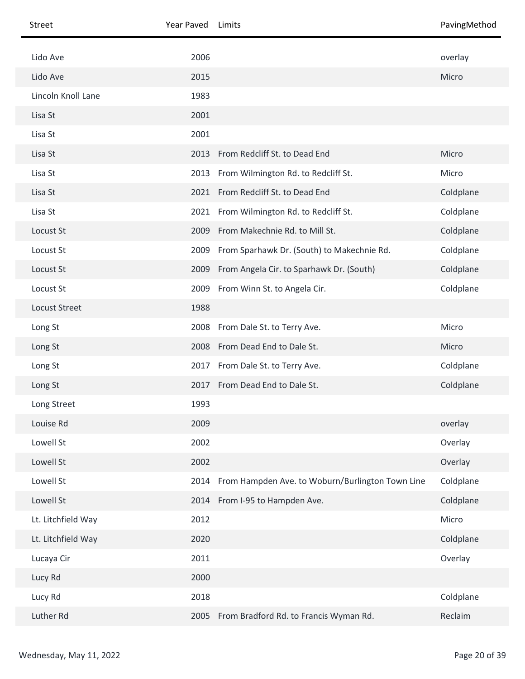| Street               | Year Paved | Limits                                           | PavingMethod |
|----------------------|------------|--------------------------------------------------|--------------|
| Lido Ave             | 2006       |                                                  | overlay      |
| Lido Ave             | 2015       |                                                  | Micro        |
| Lincoln Knoll Lane   | 1983       |                                                  |              |
| Lisa St              | 2001       |                                                  |              |
| Lisa St              | 2001       |                                                  |              |
| Lisa St              | 2013       | From Redcliff St. to Dead End                    | Micro        |
| Lisa St              |            | 2013 From Wilmington Rd. to Redcliff St.         | Micro        |
| Lisa St              |            | 2021 From Redcliff St. to Dead End               | Coldplane    |
| Lisa St              |            | 2021 From Wilmington Rd. to Redcliff St.         | Coldplane    |
| Locust St            | 2009       | From Makechnie Rd. to Mill St.                   | Coldplane    |
| Locust St            | 2009       | From Sparhawk Dr. (South) to Makechnie Rd.       | Coldplane    |
| Locust St            | 2009       | From Angela Cir. to Sparhawk Dr. (South)         | Coldplane    |
| Locust St            |            | 2009 From Winn St. to Angela Cir.                | Coldplane    |
| <b>Locust Street</b> | 1988       |                                                  |              |
| Long St              |            | 2008 From Dale St. to Terry Ave.                 | Micro        |
| Long St              |            | 2008 From Dead End to Dale St.                   | Micro        |
| Long St              |            | 2017 From Dale St. to Terry Ave.                 | Coldplane    |
| Long St              |            | 2017 From Dead End to Dale St.                   | Coldplane    |
| Long Street          | 1993       |                                                  |              |
| Louise Rd            | 2009       |                                                  | overlay      |
| Lowell St            | 2002       |                                                  | Overlay      |
| Lowell St            | 2002       |                                                  | Overlay      |
| Lowell St            | 2014       | From Hampden Ave. to Woburn/Burlington Town Line | Coldplane    |
| Lowell St            |            | 2014 From I-95 to Hampden Ave.                   | Coldplane    |
| Lt. Litchfield Way   | 2012       |                                                  | Micro        |
| Lt. Litchfield Way   | 2020       |                                                  | Coldplane    |
| Lucaya Cir           | 2011       |                                                  | Overlay      |
| Lucy Rd              | 2000       |                                                  |              |
| Lucy Rd              | 2018       |                                                  | Coldplane    |
| Luther Rd            | 2005       | From Bradford Rd. to Francis Wyman Rd.           | Reclaim      |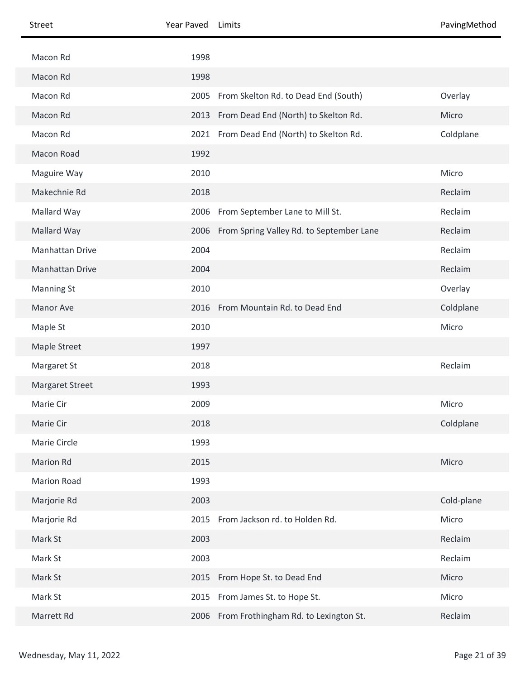| <b>Street</b>          | Year Paved | Limits                                        | PavingMethod |
|------------------------|------------|-----------------------------------------------|--------------|
| Macon Rd               | 1998       |                                               |              |
| Macon Rd               | 1998       |                                               |              |
| Macon Rd               | 2005       | From Skelton Rd. to Dead End (South)          | Overlay      |
| Macon Rd               | 2013       | From Dead End (North) to Skelton Rd.          | Micro        |
| Macon Rd               |            | 2021 From Dead End (North) to Skelton Rd.     | Coldplane    |
| Macon Road             | 1992       |                                               |              |
| Maguire Way            | 2010       |                                               | Micro        |
| Makechnie Rd           | 2018       |                                               | Reclaim      |
| Mallard Way            | 2006       | From September Lane to Mill St.               | Reclaim      |
| Mallard Way            |            | 2006 From Spring Valley Rd. to September Lane | Reclaim      |
| Manhattan Drive        | 2004       |                                               | Reclaim      |
| Manhattan Drive        | 2004       |                                               | Reclaim      |
| <b>Manning St</b>      | 2010       |                                               | Overlay      |
| Manor Ave              |            | 2016 From Mountain Rd. to Dead End            | Coldplane    |
| Maple St               | 2010       |                                               | Micro        |
| Maple Street           | 1997       |                                               |              |
| Margaret St            | 2018       |                                               | Reclaim      |
| <b>Margaret Street</b> | 1993       |                                               |              |
| Marie Cir              | 2009       |                                               | Micro        |
| Marie Cir              | 2018       |                                               | Coldplane    |
| Marie Circle           | 1993       |                                               |              |
| Marion Rd              | 2015       |                                               | Micro        |
| <b>Marion Road</b>     | 1993       |                                               |              |
| Marjorie Rd            | 2003       |                                               | Cold-plane   |
| Marjorie Rd            | 2015       | From Jackson rd. to Holden Rd.                | Micro        |
| Mark St                | 2003       |                                               | Reclaim      |
| Mark St                | 2003       |                                               | Reclaim      |
| Mark St                |            | 2015 From Hope St. to Dead End                | Micro        |
| Mark St                | 2015       | From James St. to Hope St.                    | Micro        |
| Marrett Rd             |            | 2006 From Frothingham Rd. to Lexington St.    | Reclaim      |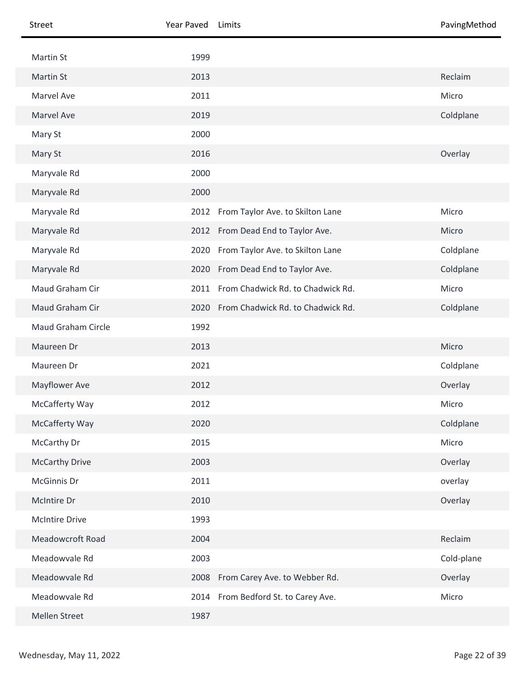| Street                | Year Paved | Limits                                 | PavingMethod |
|-----------------------|------------|----------------------------------------|--------------|
| Martin St             | 1999       |                                        |              |
| Martin St             | 2013       |                                        | Reclaim      |
| Marvel Ave            | 2011       |                                        | Micro        |
| <b>Marvel Ave</b>     | 2019       |                                        | Coldplane    |
| Mary St               | 2000       |                                        |              |
| Mary St               | 2016       |                                        | Overlay      |
| Maryvale Rd           | 2000       |                                        |              |
| Maryvale Rd           | 2000       |                                        |              |
| Maryvale Rd           |            | 2012 From Taylor Ave. to Skilton Lane  | Micro        |
| Maryvale Rd           |            | 2012 From Dead End to Taylor Ave.      | Micro        |
| Maryvale Rd           | 2020       | From Taylor Ave. to Skilton Lane       | Coldplane    |
| Maryvale Rd           |            | 2020 From Dead End to Taylor Ave.      | Coldplane    |
| Maud Graham Cir       | 2011       | From Chadwick Rd. to Chadwick Rd.      | Micro        |
| Maud Graham Cir       |            | 2020 From Chadwick Rd. to Chadwick Rd. | Coldplane    |
| Maud Graham Circle    | 1992       |                                        |              |
| Maureen Dr            | 2013       |                                        | Micro        |
| Maureen Dr            | 2021       |                                        | Coldplane    |
| Mayflower Ave         | 2012       |                                        | Overlay      |
| McCafferty Way        | 2012       |                                        | Micro        |
| McCafferty Way        | 2020       |                                        | Coldplane    |
| McCarthy Dr           | 2015       |                                        | Micro        |
| <b>McCarthy Drive</b> | 2003       |                                        | Overlay      |
| McGinnis Dr           | 2011       |                                        | overlay      |
| McIntire Dr           | 2010       |                                        | Overlay      |
| <b>McIntire Drive</b> | 1993       |                                        |              |
| Meadowcroft Road      | 2004       |                                        | Reclaim      |
| Meadowvale Rd         | 2003       |                                        | Cold-plane   |
| Meadowvale Rd         |            | 2008 From Carey Ave. to Webber Rd.     | Overlay      |
| Meadowvale Rd         |            | 2014 From Bedford St. to Carey Ave.    | Micro        |
| Mellen Street         | 1987       |                                        |              |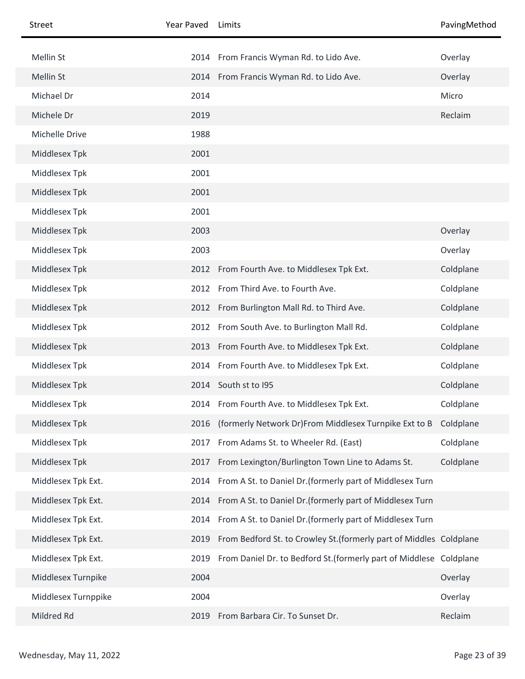| <b>Street</b>       | Year Paved | Limits                                                              | PavingMethod |
|---------------------|------------|---------------------------------------------------------------------|--------------|
| Mellin St           |            | 2014 From Francis Wyman Rd. to Lido Ave.                            | Overlay      |
| Mellin St           |            | 2014 From Francis Wyman Rd. to Lido Ave.                            | Overlay      |
| Michael Dr          | 2014       |                                                                     | Micro        |
| Michele Dr          | 2019       |                                                                     | Reclaim      |
| Michelle Drive      | 1988       |                                                                     |              |
| Middlesex Tpk       | 2001       |                                                                     |              |
| Middlesex Tpk       | 2001       |                                                                     |              |
| Middlesex Tpk       | 2001       |                                                                     |              |
| Middlesex Tpk       | 2001       |                                                                     |              |
| Middlesex Tpk       | 2003       |                                                                     | Overlay      |
| Middlesex Tpk       | 2003       |                                                                     | Overlay      |
| Middlesex Tpk       | 2012       | From Fourth Ave. to Middlesex Tpk Ext.                              | Coldplane    |
| Middlesex Tpk       | 2012       | From Third Ave. to Fourth Ave.                                      | Coldplane    |
| Middlesex Tpk       | 2012       | From Burlington Mall Rd. to Third Ave.                              | Coldplane    |
| Middlesex Tpk       | 2012       | From South Ave. to Burlington Mall Rd.                              | Coldplane    |
| Middlesex Tpk       | 2013       | From Fourth Ave. to Middlesex Tpk Ext.                              | Coldplane    |
| Middlesex Tpk       | 2014       | From Fourth Ave. to Middlesex Tpk Ext.                              | Coldplane    |
| Middlesex Tpk       | 2014       | South st to I95                                                     | Coldplane    |
| Middlesex Tpk       |            | 2014 From Fourth Ave. to Middlesex Tpk Ext.                         | Coldplane    |
| Middlesex Tpk       | 2016       | (formerly Network Dr)From Middlesex Turnpike Ext to B               | Coldplane    |
| Middlesex Tpk       | 2017       | From Adams St. to Wheeler Rd. (East)                                | Coldplane    |
| Middlesex Tpk       | 2017       | From Lexington/Burlington Town Line to Adams St.                    | Coldplane    |
| Middlesex Tpk Ext.  | 2014       | From A St. to Daniel Dr. (formerly part of Middlesex Turn           |              |
| Middlesex Tpk Ext.  | 2014       | From A St. to Daniel Dr. (formerly part of Middlesex Turn           |              |
| Middlesex Tpk Ext.  | 2014       | From A St. to Daniel Dr. (formerly part of Middlesex Turn           |              |
| Middlesex Tpk Ext.  | 2019       | From Bedford St. to Crowley St. (formerly part of Middles Coldplane |              |
| Middlesex Tpk Ext.  | 2019       | From Daniel Dr. to Bedford St. (formerly part of Middlese Coldplane |              |
| Middlesex Turnpike  | 2004       |                                                                     | Overlay      |
| Middlesex Turnppike | 2004       |                                                                     | Overlay      |
| Mildred Rd          | 2019       | From Barbara Cir. To Sunset Dr.                                     | Reclaim      |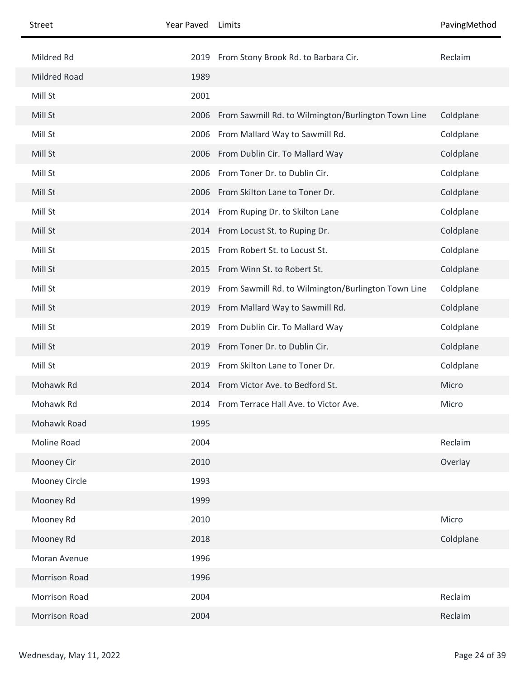| <b>Street</b> | Year Paved | Limits                                                   | PavingMethod |
|---------------|------------|----------------------------------------------------------|--------------|
| Mildred Rd    |            | 2019 From Stony Brook Rd. to Barbara Cir.                | Reclaim      |
| Mildred Road  | 1989       |                                                          |              |
| Mill St       | 2001       |                                                          |              |
| Mill St       |            | 2006 From Sawmill Rd. to Wilmington/Burlington Town Line | Coldplane    |
| Mill St       |            | 2006 From Mallard Way to Sawmill Rd.                     | Coldplane    |
| Mill St       |            | 2006 From Dublin Cir. To Mallard Way                     | Coldplane    |
| Mill St       | 2006       | From Toner Dr. to Dublin Cir.                            | Coldplane    |
| Mill St       | 2006       | From Skilton Lane to Toner Dr.                           | Coldplane    |
| Mill St       |            | 2014 From Ruping Dr. to Skilton Lane                     | Coldplane    |
| Mill St       |            | 2014 From Locust St. to Ruping Dr.                       | Coldplane    |
| Mill St       | 2015       | From Robert St. to Locust St.                            | Coldplane    |
| Mill St       |            | 2015 From Winn St. to Robert St.                         | Coldplane    |
| Mill St       | 2019       | From Sawmill Rd. to Wilmington/Burlington Town Line      | Coldplane    |
| Mill St       |            | 2019 From Mallard Way to Sawmill Rd.                     | Coldplane    |
| Mill St       | 2019       | From Dublin Cir. To Mallard Way                          | Coldplane    |
| Mill St       | 2019       | From Toner Dr. to Dublin Cir.                            | Coldplane    |
| Mill St       | 2019       | From Skilton Lane to Toner Dr.                           | Coldplane    |
| Mohawk Rd     |            | 2014 From Victor Ave. to Bedford St.                     | Micro        |
| Mohawk Rd     |            | 2014 From Terrace Hall Ave. to Victor Ave.               | Micro        |
| Mohawk Road   | 1995       |                                                          |              |
| Moline Road   | 2004       |                                                          | Reclaim      |
| Mooney Cir    | 2010       |                                                          | Overlay      |
| Mooney Circle | 1993       |                                                          |              |
| Mooney Rd     | 1999       |                                                          |              |
| Mooney Rd     | 2010       |                                                          | Micro        |
| Mooney Rd     | 2018       |                                                          | Coldplane    |
| Moran Avenue  | 1996       |                                                          |              |
| Morrison Road | 1996       |                                                          |              |
| Morrison Road | 2004       |                                                          | Reclaim      |
| Morrison Road | 2004       |                                                          | Reclaim      |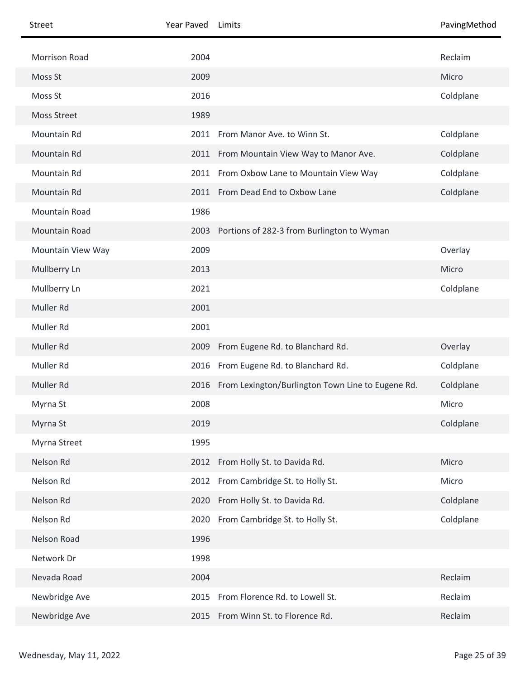| Street               | Year Paved | Limits                                                 | PavingMethod |
|----------------------|------------|--------------------------------------------------------|--------------|
| <b>Morrison Road</b> | 2004       |                                                        | Reclaim      |
| Moss St              | 2009       |                                                        | Micro        |
| Moss St              | 2016       |                                                        | Coldplane    |
| <b>Moss Street</b>   | 1989       |                                                        |              |
| Mountain Rd          |            | 2011 From Manor Ave. to Winn St.                       | Coldplane    |
| Mountain Rd          | 2011       | From Mountain View Way to Manor Ave.                   | Coldplane    |
| Mountain Rd          |            | 2011 From Oxbow Lane to Mountain View Way              | Coldplane    |
| Mountain Rd          |            | 2011 From Dead End to Oxbow Lane                       | Coldplane    |
| <b>Mountain Road</b> | 1986       |                                                        |              |
| Mountain Road        | 2003       | Portions of 282-3 from Burlington to Wyman             |              |
| Mountain View Way    | 2009       |                                                        | Overlay      |
| Mullberry Ln         | 2013       |                                                        | Micro        |
| Mullberry Ln         | 2021       |                                                        | Coldplane    |
| Muller Rd            | 2001       |                                                        |              |
| Muller Rd            | 2001       |                                                        |              |
| Muller Rd            | 2009       | From Eugene Rd. to Blanchard Rd.                       | Overlay      |
| Muller Rd            | 2016       | From Eugene Rd. to Blanchard Rd.                       | Coldplane    |
| Muller Rd            |            | 2016 From Lexington/Burlington Town Line to Eugene Rd. | Coldplane    |
| Myrna St             | 2008       |                                                        | Micro        |
| Myrna St             | 2019       |                                                        | Coldplane    |
| Myrna Street         | 1995       |                                                        |              |
| Nelson Rd            |            | 2012 From Holly St. to Davida Rd.                      | Micro        |
| Nelson Rd            | 2012       | From Cambridge St. to Holly St.                        | Micro        |
| Nelson Rd            |            | 2020 From Holly St. to Davida Rd.                      | Coldplane    |
| Nelson Rd            | 2020       | From Cambridge St. to Holly St.                        | Coldplane    |
| Nelson Road          | 1996       |                                                        |              |
| Network Dr           | 1998       |                                                        |              |
| Nevada Road          | 2004       |                                                        | Reclaim      |
| Newbridge Ave        | 2015       | From Florence Rd. to Lowell St.                        | Reclaim      |
| Newbridge Ave        | 2015       | From Winn St. to Florence Rd.                          | Reclaim      |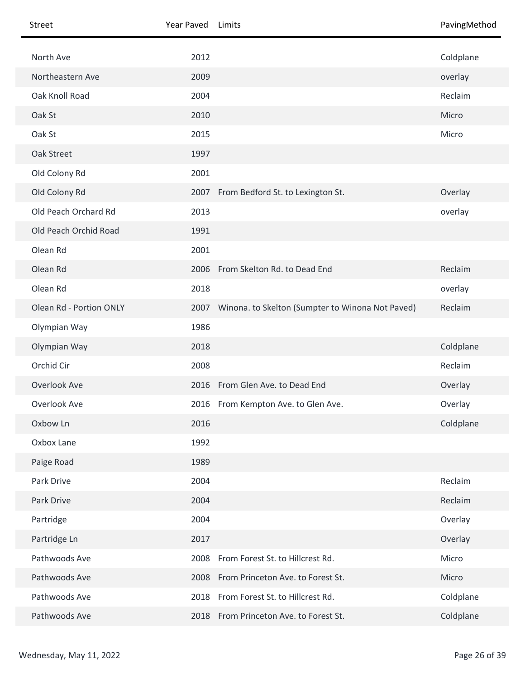| Street                  | Year Paved | Limits                                           | PavingMethod |
|-------------------------|------------|--------------------------------------------------|--------------|
| North Ave               | 2012       |                                                  | Coldplane    |
| Northeastern Ave        | 2009       |                                                  | overlay      |
| Oak Knoll Road          | 2004       |                                                  | Reclaim      |
| Oak St                  | 2010       |                                                  | Micro        |
| Oak St                  | 2015       |                                                  | Micro        |
| Oak Street              | 1997       |                                                  |              |
| Old Colony Rd           | 2001       |                                                  |              |
| Old Colony Rd           |            | 2007 From Bedford St. to Lexington St.           | Overlay      |
| Old Peach Orchard Rd    | 2013       |                                                  | overlay      |
| Old Peach Orchid Road   | 1991       |                                                  |              |
| Olean Rd                | 2001       |                                                  |              |
| Olean Rd                |            | 2006 From Skelton Rd. to Dead End                | Reclaim      |
| Olean Rd                | 2018       |                                                  | overlay      |
| Olean Rd - Portion ONLY | 2007       | Winona. to Skelton (Sumpter to Winona Not Paved) | Reclaim      |
| Olympian Way            | 1986       |                                                  |              |
| Olympian Way            | 2018       |                                                  | Coldplane    |
| Orchid Cir              | 2008       |                                                  | Reclaim      |
| Overlook Ave            |            | 2016 From Glen Ave. to Dead End                  | Overlay      |
| Overlook Ave            |            | 2016 From Kempton Ave. to Glen Ave.              | Overlay      |
| Oxbow Ln                | 2016       |                                                  | Coldplane    |
| Oxbox Lane              | 1992       |                                                  |              |
| Paige Road              | 1989       |                                                  |              |
| Park Drive              | 2004       |                                                  | Reclaim      |
| Park Drive              | 2004       |                                                  | Reclaim      |
| Partridge               | 2004       |                                                  | Overlay      |
| Partridge Ln            | 2017       |                                                  | Overlay      |
| Pathwoods Ave           | 2008       | From Forest St. to Hillcrest Rd.                 | Micro        |
| Pathwoods Ave           |            | 2008 From Princeton Ave. to Forest St.           | Micro        |
| Pathwoods Ave           | 2018       | From Forest St. to Hillcrest Rd.                 | Coldplane    |
| Pathwoods Ave           |            | 2018 From Princeton Ave. to Forest St.           | Coldplane    |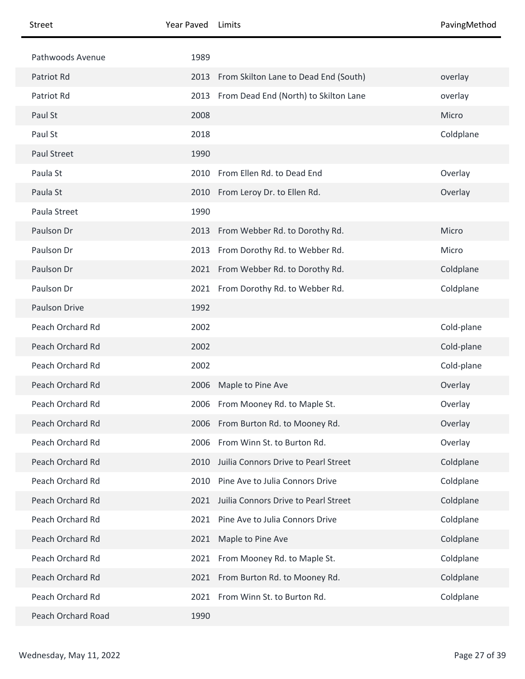| <b>Street</b>      | Year Paved | Limits                                     | PavingMethod |
|--------------------|------------|--------------------------------------------|--------------|
| Pathwoods Avenue   | 1989       |                                            |              |
| Patriot Rd         | 2013       | From Skilton Lane to Dead End (South)      | overlay      |
| Patriot Rd         |            | 2013 From Dead End (North) to Skilton Lane | overlay      |
| Paul St            | 2008       |                                            | Micro        |
| Paul St            | 2018       |                                            | Coldplane    |
| <b>Paul Street</b> | 1990       |                                            |              |
| Paula St           | 2010       | From Ellen Rd. to Dead End                 | Overlay      |
| Paula St           |            | 2010 From Leroy Dr. to Ellen Rd.           | Overlay      |
| Paula Street       | 1990       |                                            |              |
| Paulson Dr         | 2013       | From Webber Rd. to Dorothy Rd.             | Micro        |
| Paulson Dr         | 2013       | From Dorothy Rd. to Webber Rd.             | Micro        |
| Paulson Dr         |            | 2021 From Webber Rd. to Dorothy Rd.        | Coldplane    |
| Paulson Dr         |            | 2021 From Dorothy Rd. to Webber Rd.        | Coldplane    |
| Paulson Drive      | 1992       |                                            |              |
| Peach Orchard Rd   | 2002       |                                            | Cold-plane   |
| Peach Orchard Rd   | 2002       |                                            | Cold-plane   |
| Peach Orchard Rd   | 2002       |                                            | Cold-plane   |
| Peach Orchard Rd   |            | 2006 Maple to Pine Ave                     | Overlay      |
| Peach Orchard Rd   |            | 2006 From Mooney Rd. to Maple St.          | Overlay      |
| Peach Orchard Rd   |            | 2006 From Burton Rd. to Mooney Rd.         | Overlay      |
| Peach Orchard Rd   | 2006       | From Winn St. to Burton Rd.                | Overlay      |
| Peach Orchard Rd   | 2010       | Juilia Connors Drive to Pearl Street       | Coldplane    |
| Peach Orchard Rd   | 2010       | Pine Ave to Julia Connors Drive            | Coldplane    |
| Peach Orchard Rd   | 2021       | Juilia Connors Drive to Pearl Street       | Coldplane    |
| Peach Orchard Rd   | 2021       | Pine Ave to Julia Connors Drive            | Coldplane    |
| Peach Orchard Rd   | 2021       | Maple to Pine Ave                          | Coldplane    |
| Peach Orchard Rd   |            | 2021 From Mooney Rd. to Maple St.          | Coldplane    |
| Peach Orchard Rd   |            | 2021 From Burton Rd. to Mooney Rd.         | Coldplane    |
| Peach Orchard Rd   | 2021       | From Winn St. to Burton Rd.                | Coldplane    |
| Peach Orchard Road | 1990       |                                            |              |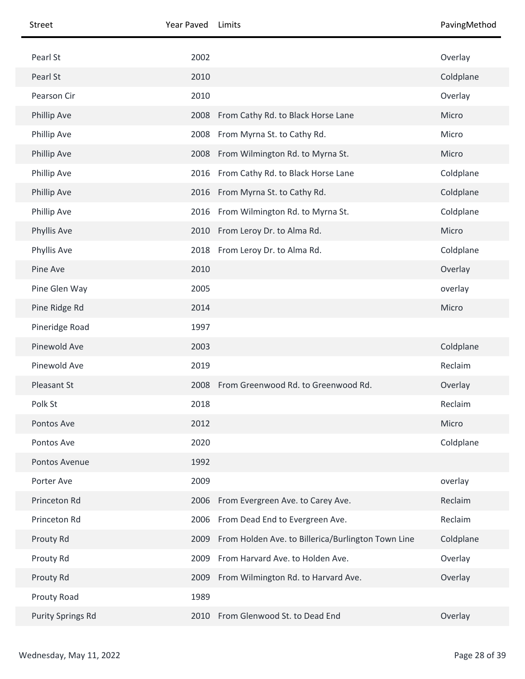| Street                   | Year Paved | Limits                                             | PavingMethod |
|--------------------------|------------|----------------------------------------------------|--------------|
| Pearl St                 | 2002       |                                                    | Overlay      |
| Pearl St                 | 2010       |                                                    | Coldplane    |
| Pearson Cir              | 2010       |                                                    | Overlay      |
| <b>Phillip Ave</b>       |            | 2008 From Cathy Rd. to Black Horse Lane            | Micro        |
| Phillip Ave              | 2008       | From Myrna St. to Cathy Rd.                        | Micro        |
| Phillip Ave              |            | 2008 From Wilmington Rd. to Myrna St.              | Micro        |
| Phillip Ave              | 2016       | From Cathy Rd. to Black Horse Lane                 | Coldplane    |
| Phillip Ave              |            | 2016 From Myrna St. to Cathy Rd.                   | Coldplane    |
| Phillip Ave              | 2016       | From Wilmington Rd. to Myrna St.                   | Coldplane    |
| Phyllis Ave              | 2010       | From Leroy Dr. to Alma Rd.                         | Micro        |
| Phyllis Ave              |            | 2018 From Leroy Dr. to Alma Rd.                    | Coldplane    |
| Pine Ave                 | 2010       |                                                    | Overlay      |
| Pine Glen Way            | 2005       |                                                    | overlay      |
| Pine Ridge Rd            | 2014       |                                                    | Micro        |
| Pineridge Road           | 1997       |                                                    |              |
| Pinewold Ave             | 2003       |                                                    | Coldplane    |
| Pinewold Ave             | 2019       |                                                    | Reclaim      |
| Pleasant St              |            | 2008 From Greenwood Rd. to Greenwood Rd.           | Overlay      |
| Polk St                  | 2018       |                                                    | Reclaim      |
| Pontos Ave               | 2012       |                                                    | Micro        |
| Pontos Ave               | 2020       |                                                    | Coldplane    |
| Pontos Avenue            | 1992       |                                                    |              |
| Porter Ave               | 2009       |                                                    | overlay      |
| Princeton Rd             | 2006       | From Evergreen Ave. to Carey Ave.                  | Reclaim      |
| Princeton Rd             | 2006       | From Dead End to Evergreen Ave.                    | Reclaim      |
| Prouty Rd                | 2009       | From Holden Ave. to Billerica/Burlington Town Line | Coldplane    |
| Prouty Rd                | 2009       | From Harvard Ave. to Holden Ave.                   | Overlay      |
| Prouty Rd                | 2009       | From Wilmington Rd. to Harvard Ave.                | Overlay      |
| Prouty Road              | 1989       |                                                    |              |
| <b>Purity Springs Rd</b> | 2010       | From Glenwood St. to Dead End                      | Overlay      |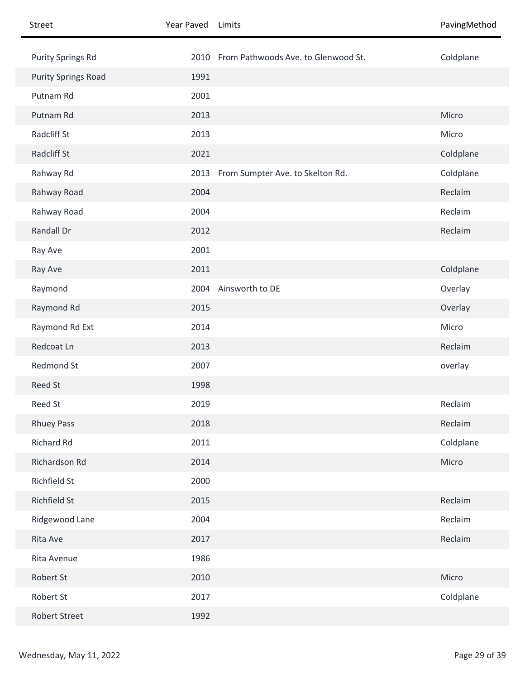| Street                     | Year Paved | Limits                                   | PavingMethod |
|----------------------------|------------|------------------------------------------|--------------|
| <b>Purity Springs Rd</b>   |            | 2010 From Pathwoods Ave. to Glenwood St. | Coldplane    |
| <b>Purity Springs Road</b> | 1991       |                                          |              |
| Putnam Rd                  | 2001       |                                          |              |
| Putnam Rd                  | 2013       |                                          | Micro        |
| Radcliff St                | 2013       |                                          | Micro        |
| Radcliff St                | 2021       |                                          | Coldplane    |
| Rahway Rd                  | 2013       | From Sumpter Ave. to Skelton Rd.         | Coldplane    |
| Rahway Road                | 2004       |                                          | Reclaim      |
| Rahway Road                | 2004       |                                          | Reclaim      |
| Randall Dr                 | 2012       |                                          | Reclaim      |
| Ray Ave                    | 2001       |                                          |              |
| Ray Ave                    | 2011       |                                          | Coldplane    |
| Raymond                    | 2004       | Ainsworth to DE                          | Overlay      |
| Raymond Rd                 | 2015       |                                          | Overlay      |
| Raymond Rd Ext             | 2014       |                                          | Micro        |
| Redcoat Ln                 | 2013       |                                          | Reclaim      |
| Redmond St                 | 2007       |                                          | overlay      |
| Reed St                    | 1998       |                                          |              |
| Reed St                    | 2019       |                                          | Reclaim      |
| <b>Rhuey Pass</b>          | 2018       |                                          | Reclaim      |
| <b>Richard Rd</b>          | 2011       |                                          | Coldplane    |
| Richardson Rd              | 2014       |                                          | Micro        |
| Richfield St               | 2000       |                                          |              |
| Richfield St               | 2015       |                                          | Reclaim      |
| Ridgewood Lane             | 2004       |                                          | Reclaim      |
| Rita Ave                   | 2017       |                                          | Reclaim      |
| Rita Avenue                | 1986       |                                          |              |
| Robert St                  | 2010       |                                          | Micro        |
| Robert St                  | 2017       |                                          | Coldplane    |
| <b>Robert Street</b>       | 1992       |                                          |              |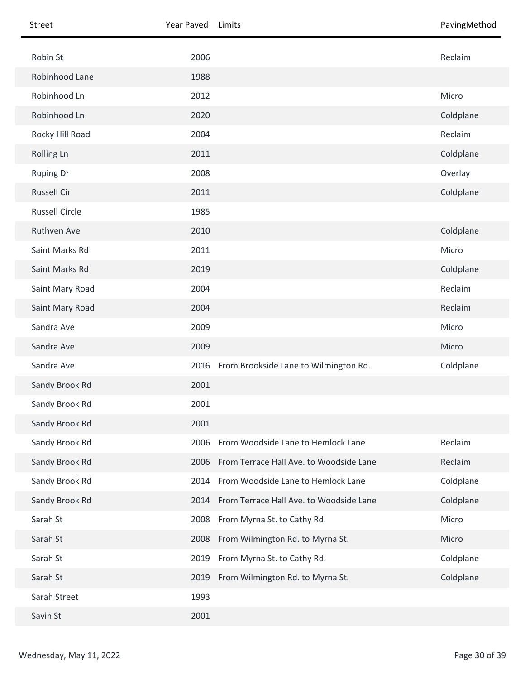| Street                | Year Paved | Limits                                       | PavingMethod |
|-----------------------|------------|----------------------------------------------|--------------|
| Robin St              | 2006       |                                              | Reclaim      |
| Robinhood Lane        | 1988       |                                              |              |
| Robinhood Ln          | 2012       |                                              | Micro        |
| Robinhood Ln          | 2020       |                                              | Coldplane    |
| Rocky Hill Road       | 2004       |                                              | Reclaim      |
| Rolling Ln            | 2011       |                                              | Coldplane    |
| <b>Ruping Dr</b>      | 2008       |                                              | Overlay      |
| <b>Russell Cir</b>    | 2011       |                                              | Coldplane    |
| <b>Russell Circle</b> | 1985       |                                              |              |
| Ruthven Ave           | 2010       |                                              | Coldplane    |
| Saint Marks Rd        | 2011       |                                              | Micro        |
| Saint Marks Rd        | 2019       |                                              | Coldplane    |
| Saint Mary Road       | 2004       |                                              | Reclaim      |
| Saint Mary Road       | 2004       |                                              | Reclaim      |
| Sandra Ave            | 2009       |                                              | Micro        |
| Sandra Ave            | 2009       |                                              | Micro        |
| Sandra Ave            |            | 2016 From Brookside Lane to Wilmington Rd.   | Coldplane    |
| Sandy Brook Rd        | 2001       |                                              |              |
| Sandy Brook Rd        | 2001       |                                              |              |
| Sandy Brook Rd        | 2001       |                                              |              |
| Sandy Brook Rd        | 2006       | From Woodside Lane to Hemlock Lane           | Reclaim      |
| Sandy Brook Rd        | 2006       | From Terrace Hall Ave. to Woodside Lane      | Reclaim      |
| Sandy Brook Rd        | 2014       | From Woodside Lane to Hemlock Lane           | Coldplane    |
| Sandy Brook Rd        |            | 2014 From Terrace Hall Ave. to Woodside Lane | Coldplane    |
| Sarah St              | 2008       | From Myrna St. to Cathy Rd.                  | Micro        |
| Sarah St              | 2008       | From Wilmington Rd. to Myrna St.             | Micro        |
| Sarah St              | 2019       | From Myrna St. to Cathy Rd.                  | Coldplane    |
| Sarah St              |            | 2019 From Wilmington Rd. to Myrna St.        | Coldplane    |
| Sarah Street          | 1993       |                                              |              |
| Savin St              | 2001       |                                              |              |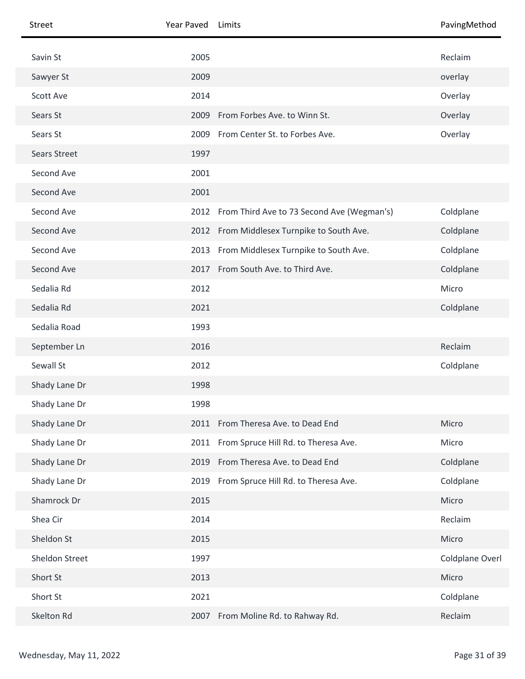| Street              | Year Paved | Limits                                          | PavingMethod    |
|---------------------|------------|-------------------------------------------------|-----------------|
| Savin St            | 2005       |                                                 | Reclaim         |
| Sawyer St           | 2009       |                                                 | overlay         |
| Scott Ave           | 2014       |                                                 | Overlay         |
| Sears St            | 2009       | From Forbes Ave. to Winn St.                    | Overlay         |
| Sears St            | 2009       | From Center St. to Forbes Ave.                  | Overlay         |
| <b>Sears Street</b> | 1997       |                                                 |                 |
| Second Ave          | 2001       |                                                 |                 |
| Second Ave          | 2001       |                                                 |                 |
| Second Ave          |            | 2012 From Third Ave to 73 Second Ave (Wegman's) | Coldplane       |
| Second Ave          |            | 2012 From Middlesex Turnpike to South Ave.      | Coldplane       |
| Second Ave          | 2013       | From Middlesex Turnpike to South Ave.           | Coldplane       |
| Second Ave          |            | 2017 From South Ave. to Third Ave.              | Coldplane       |
| Sedalia Rd          | 2012       |                                                 | Micro           |
| Sedalia Rd          | 2021       |                                                 | Coldplane       |
| Sedalia Road        | 1993       |                                                 |                 |
| September Ln        | 2016       |                                                 | Reclaim         |
| Sewall St           | 2012       |                                                 | Coldplane       |
| Shady Lane Dr       | 1998       |                                                 |                 |
| Shady Lane Dr       | 1998       |                                                 |                 |
| Shady Lane Dr       |            | 2011 From Theresa Ave. to Dead End              | Micro           |
| Shady Lane Dr       |            | 2011 From Spruce Hill Rd. to Theresa Ave.       | Micro           |
| Shady Lane Dr       | 2019       | From Theresa Ave. to Dead End                   | Coldplane       |
| Shady Lane Dr       | 2019       | From Spruce Hill Rd. to Theresa Ave.            | Coldplane       |
| Shamrock Dr         | 2015       |                                                 | Micro           |
| Shea Cir            | 2014       |                                                 | Reclaim         |
| Sheldon St          | 2015       |                                                 | Micro           |
| Sheldon Street      | 1997       |                                                 | Coldplane Overl |
| Short St            | 2013       |                                                 | Micro           |
| Short St            | 2021       |                                                 | Coldplane       |
| Skelton Rd          | 2007       | From Moline Rd. to Rahway Rd.                   | Reclaim         |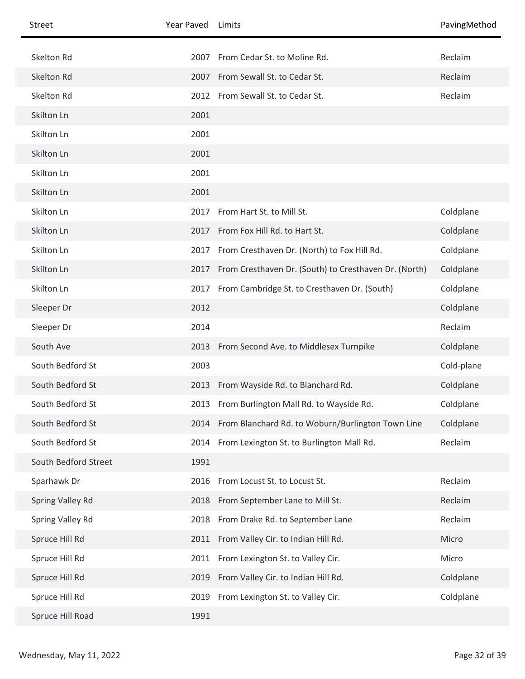| <b>Street</b>        | Year Paved | Limits                                                 | PavingMethod |
|----------------------|------------|--------------------------------------------------------|--------------|
| Skelton Rd           | 2007       | From Cedar St. to Moline Rd.                           | Reclaim      |
| Skelton Rd           |            | 2007 From Sewall St. to Cedar St.                      | Reclaim      |
| Skelton Rd           |            | 2012 From Sewall St. to Cedar St.                      | Reclaim      |
| Skilton Ln           | 2001       |                                                        |              |
| Skilton Ln           | 2001       |                                                        |              |
| Skilton Ln           | 2001       |                                                        |              |
| Skilton Ln           | 2001       |                                                        |              |
| Skilton Ln           | 2001       |                                                        |              |
| Skilton Ln           | 2017       | From Hart St. to Mill St.                              | Coldplane    |
| Skilton Ln           | 2017       | From Fox Hill Rd. to Hart St.                          | Coldplane    |
| Skilton Ln           | 2017       | From Cresthaven Dr. (North) to Fox Hill Rd.            | Coldplane    |
| Skilton Ln           | 2017       | From Cresthaven Dr. (South) to Cresthaven Dr. (North)  | Coldplane    |
| Skilton Ln           | 2017       | From Cambridge St. to Cresthaven Dr. (South)           | Coldplane    |
| Sleeper Dr           | 2012       |                                                        | Coldplane    |
| Sleeper Dr           | 2014       |                                                        | Reclaim      |
| South Ave            |            | 2013 From Second Ave. to Middlesex Turnpike            | Coldplane    |
| South Bedford St     | 2003       |                                                        | Cold-plane   |
| South Bedford St     | 2013       | From Wayside Rd. to Blanchard Rd.                      | Coldplane    |
| South Bedford St     |            | 2013 From Burlington Mall Rd. to Wayside Rd.           | Coldplane    |
| South Bedford St     |            | 2014 From Blanchard Rd. to Woburn/Burlington Town Line | Coldplane    |
| South Bedford St     |            | 2014 From Lexington St. to Burlington Mall Rd.         | Reclaim      |
| South Bedford Street | 1991       |                                                        |              |
| Sparhawk Dr          | 2016       | From Locust St. to Locust St.                          | Reclaim      |
| Spring Valley Rd     |            | 2018 From September Lane to Mill St.                   | Reclaim      |
| Spring Valley Rd     | 2018       | From Drake Rd. to September Lane                       | Reclaim      |
| Spruce Hill Rd       | 2011       | From Valley Cir. to Indian Hill Rd.                    | Micro        |
| Spruce Hill Rd       | 2011       | From Lexington St. to Valley Cir.                      | Micro        |
| Spruce Hill Rd       | 2019       | From Valley Cir. to Indian Hill Rd.                    | Coldplane    |
| Spruce Hill Rd       | 2019       | From Lexington St. to Valley Cir.                      | Coldplane    |
| Spruce Hill Road     | 1991       |                                                        |              |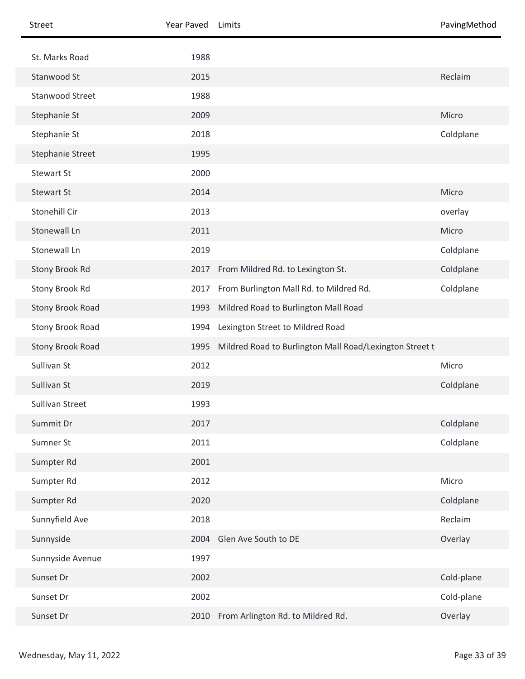| Street                 | Year Paved | Limits                                                  | PavingMethod |
|------------------------|------------|---------------------------------------------------------|--------------|
| St. Marks Road         | 1988       |                                                         |              |
| Stanwood St            | 2015       |                                                         | Reclaim      |
| <b>Stanwood Street</b> | 1988       |                                                         |              |
| Stephanie St           | 2009       |                                                         | Micro        |
| Stephanie St           | 2018       |                                                         | Coldplane    |
| Stephanie Street       | 1995       |                                                         |              |
| <b>Stewart St</b>      | 2000       |                                                         |              |
| <b>Stewart St</b>      | 2014       |                                                         | Micro        |
| Stonehill Cir          | 2013       |                                                         | overlay      |
| Stonewall Ln           | 2011       |                                                         | Micro        |
| Stonewall Ln           | 2019       |                                                         | Coldplane    |
| Stony Brook Rd         |            | 2017 From Mildred Rd. to Lexington St.                  | Coldplane    |
| Stony Brook Rd         |            | 2017 From Burlington Mall Rd. to Mildred Rd.            | Coldplane    |
| Stony Brook Road       | 1993       | Mildred Road to Burlington Mall Road                    |              |
| Stony Brook Road       | 1994       | Lexington Street to Mildred Road                        |              |
| Stony Brook Road       | 1995       | Mildred Road to Burlington Mall Road/Lexington Street t |              |
| Sullivan St            | 2012       |                                                         | Micro        |
| Sullivan St            | 2019       |                                                         | Coldplane    |
| Sullivan Street        | 1993       |                                                         |              |
| Summit Dr              | 2017       |                                                         | Coldplane    |
| Sumner St              | 2011       |                                                         | Coldplane    |
| Sumpter Rd             | 2001       |                                                         |              |
| Sumpter Rd             | 2012       |                                                         | Micro        |
| Sumpter Rd             | 2020       |                                                         | Coldplane    |
| Sunnyfield Ave         | 2018       |                                                         | Reclaim      |
| Sunnyside              | 2004       | Glen Ave South to DE                                    | Overlay      |
| Sunnyside Avenue       | 1997       |                                                         |              |
| Sunset Dr              | 2002       |                                                         | Cold-plane   |
| Sunset Dr              | 2002       |                                                         | Cold-plane   |
| Sunset Dr              | 2010       | From Arlington Rd. to Mildred Rd.                       | Overlay      |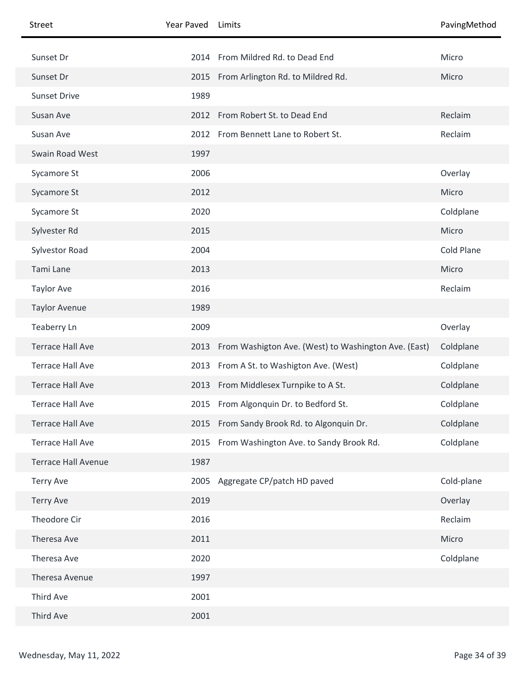| Street                     | Year Paved | Limits                                                    | PavingMethod |
|----------------------------|------------|-----------------------------------------------------------|--------------|
| Sunset Dr                  |            | 2014 From Mildred Rd. to Dead End                         | Micro        |
| Sunset Dr                  |            | 2015 From Arlington Rd. to Mildred Rd.                    | Micro        |
| <b>Sunset Drive</b>        | 1989       |                                                           |              |
| Susan Ave                  |            | 2012 From Robert St. to Dead End                          | Reclaim      |
| Susan Ave                  |            | 2012 From Bennett Lane to Robert St.                      | Reclaim      |
| Swain Road West            | 1997       |                                                           |              |
| Sycamore St                | 2006       |                                                           | Overlay      |
| Sycamore St                | 2012       |                                                           | Micro        |
| Sycamore St                | 2020       |                                                           | Coldplane    |
| Sylvester Rd               | 2015       |                                                           | Micro        |
| <b>Sylvestor Road</b>      | 2004       |                                                           | Cold Plane   |
| Tami Lane                  | 2013       |                                                           | Micro        |
| <b>Taylor Ave</b>          | 2016       |                                                           | Reclaim      |
| <b>Taylor Avenue</b>       | 1989       |                                                           |              |
| Teaberry Ln                | 2009       |                                                           | Overlay      |
| <b>Terrace Hall Ave</b>    |            | 2013 From Washigton Ave. (West) to Washington Ave. (East) | Coldplane    |
| <b>Terrace Hall Ave</b>    | 2013       | From A St. to Washigton Ave. (West)                       | Coldplane    |
| <b>Terrace Hall Ave</b>    |            | 2013 From Middlesex Turnpike to A St.                     | Coldplane    |
| Terrace Hall Ave           |            | 2015 From Algonquin Dr. to Bedford St.                    | Coldplane    |
| <b>Terrace Hall Ave</b>    |            | 2015 From Sandy Brook Rd. to Algonquin Dr.                | Coldplane    |
| <b>Terrace Hall Ave</b>    |            | 2015 From Washington Ave. to Sandy Brook Rd.              | Coldplane    |
| <b>Terrace Hall Avenue</b> | 1987       |                                                           |              |
| <b>Terry Ave</b>           | 2005       | Aggregate CP/patch HD paved                               | Cold-plane   |
| <b>Terry Ave</b>           | 2019       |                                                           | Overlay      |
| Theodore Cir               | 2016       |                                                           | Reclaim      |
| Theresa Ave                | 2011       |                                                           | Micro        |
| Theresa Ave                | 2020       |                                                           | Coldplane    |
| Theresa Avenue             | 1997       |                                                           |              |
| Third Ave                  | 2001       |                                                           |              |
| Third Ave                  | 2001       |                                                           |              |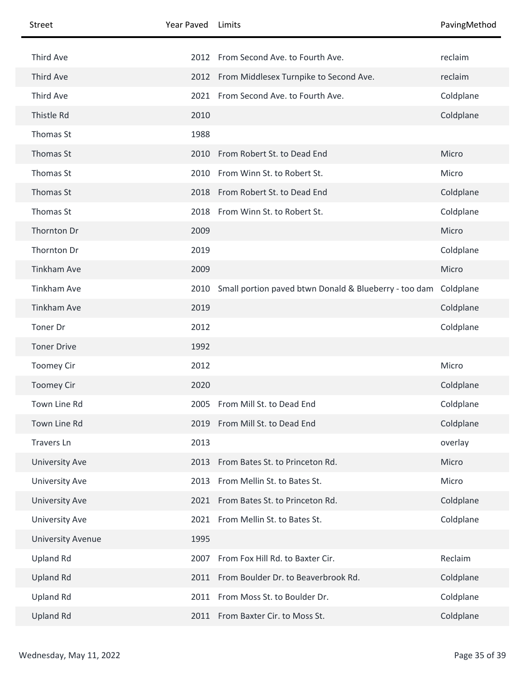| Street                   | Year Paved | Limits                                                | PavingMethod |
|--------------------------|------------|-------------------------------------------------------|--------------|
| Third Ave                | 2012       | From Second Ave. to Fourth Ave.                       | reclaim      |
| Third Ave                |            | 2012 From Middlesex Turnpike to Second Ave.           | reclaim      |
| Third Ave                | 2021       | From Second Ave. to Fourth Ave.                       | Coldplane    |
| Thistle Rd               | 2010       |                                                       | Coldplane    |
| Thomas St                | 1988       |                                                       |              |
| Thomas St                | 2010       | From Robert St. to Dead End                           | Micro        |
| Thomas St                | 2010       | From Winn St. to Robert St.                           | Micro        |
|                          |            |                                                       |              |
| Thomas St                | 2018       | From Robert St. to Dead End                           | Coldplane    |
| Thomas St                | 2018       | From Winn St. to Robert St.                           | Coldplane    |
| Thornton Dr              | 2009       |                                                       | Micro        |
| Thornton Dr              | 2019       |                                                       | Coldplane    |
| <b>Tinkham Ave</b>       | 2009       |                                                       | Micro        |
| <b>Tinkham Ave</b>       | 2010       | Small portion paved btwn Donald & Blueberry - too dam | Coldplane    |
| <b>Tinkham Ave</b>       | 2019       |                                                       | Coldplane    |
| Toner Dr                 | 2012       |                                                       | Coldplane    |
| <b>Toner Drive</b>       | 1992       |                                                       |              |
| <b>Toomey Cir</b>        | 2012       |                                                       | Micro        |
| <b>Toomey Cir</b>        | 2020       |                                                       | Coldplane    |
| Town Line Rd             |            | 2005 From Mill St. to Dead End                        | Coldplane    |
| Town Line Rd             |            | 2019 From Mill St. to Dead End                        | Coldplane    |
| <b>Travers Ln</b>        | 2013       |                                                       | overlay      |
| University Ave           | 2013       | From Bates St. to Princeton Rd.                       | Micro        |
| University Ave           | 2013       | From Mellin St. to Bates St.                          | Micro        |
| <b>University Ave</b>    |            | 2021 From Bates St. to Princeton Rd.                  | Coldplane    |
| <b>University Ave</b>    |            | 2021 From Mellin St. to Bates St.                     | Coldplane    |
| <b>University Avenue</b> | 1995       |                                                       |              |
| <b>Upland Rd</b>         | 2007       | From Fox Hill Rd. to Baxter Cir.                      | Reclaim      |
| <b>Upland Rd</b>         |            | 2011 From Boulder Dr. to Beaverbrook Rd.              | Coldplane    |
| <b>Upland Rd</b>         | 2011       | From Moss St. to Boulder Dr.                          | Coldplane    |
| <b>Upland Rd</b>         | 2011       | From Baxter Cir. to Moss St.                          | Coldplane    |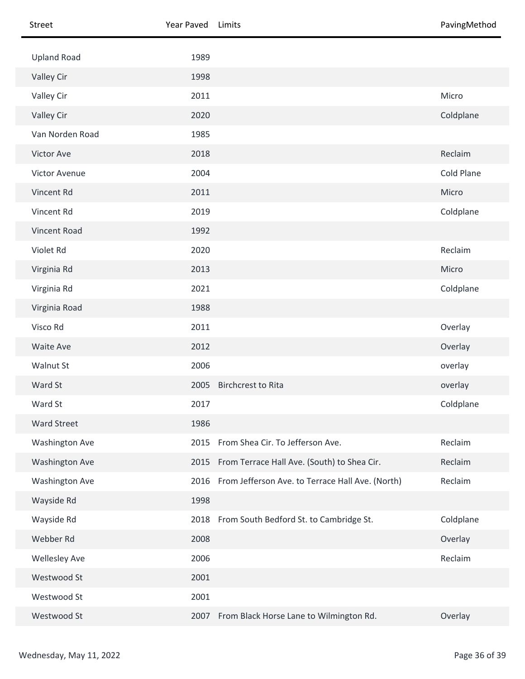| Street                | Year Paved | Limits                                                | PavingMethod |
|-----------------------|------------|-------------------------------------------------------|--------------|
| <b>Upland Road</b>    | 1989       |                                                       |              |
| Valley Cir            | 1998       |                                                       |              |
| Valley Cir            | 2011       |                                                       | Micro        |
| Valley Cir            | 2020       |                                                       | Coldplane    |
| Van Norden Road       | 1985       |                                                       |              |
| Victor Ave            | 2018       |                                                       | Reclaim      |
| Victor Avenue         | 2004       |                                                       | Cold Plane   |
| Vincent Rd            | 2011       |                                                       | Micro        |
| Vincent Rd            | 2019       |                                                       | Coldplane    |
| Vincent Road          | 1992       |                                                       |              |
| Violet Rd             | 2020       |                                                       | Reclaim      |
| Virginia Rd           | 2013       |                                                       | Micro        |
| Virginia Rd           | 2021       |                                                       | Coldplane    |
| Virginia Road         | 1988       |                                                       |              |
| Visco Rd              | 2011       |                                                       | Overlay      |
| Waite Ave             | 2012       |                                                       | Overlay      |
| Walnut St             | 2006       |                                                       | overlay      |
| Ward St               | 2005       | <b>Birchcrest to Rita</b>                             | overlay      |
| Ward St               | 2017       |                                                       | Coldplane    |
| <b>Ward Street</b>    | 1986       |                                                       |              |
| <b>Washington Ave</b> | 2015       | From Shea Cir. To Jefferson Ave.                      | Reclaim      |
| <b>Washington Ave</b> | 2015       | From Terrace Hall Ave. (South) to Shea Cir.           | Reclaim      |
| <b>Washington Ave</b> |            | 2016 From Jefferson Ave. to Terrace Hall Ave. (North) | Reclaim      |
| Wayside Rd            | 1998       |                                                       |              |
| Wayside Rd            |            | 2018 From South Bedford St. to Cambridge St.          | Coldplane    |
| Webber Rd             | 2008       |                                                       | Overlay      |
| <b>Wellesley Ave</b>  | 2006       |                                                       | Reclaim      |
| Westwood St           | 2001       |                                                       |              |
| Westwood St           | 2001       |                                                       |              |
| Westwood St           | 2007       | From Black Horse Lane to Wilmington Rd.               | Overlay      |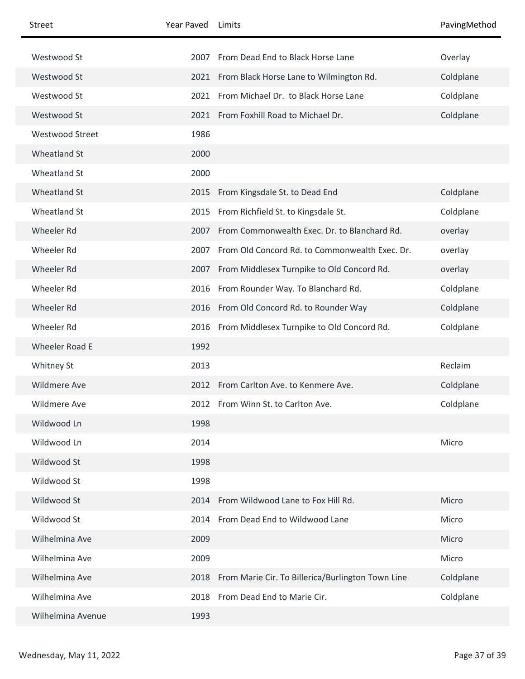| <b>Street</b>          | Year Paved | Limits                                                 | PavingMethod |
|------------------------|------------|--------------------------------------------------------|--------------|
| Westwood St            | 2007       | From Dead End to Black Horse Lane                      | Overlay      |
| Westwood St            |            | 2021 From Black Horse Lane to Wilmington Rd.           | Coldplane    |
| Westwood St            | 2021       | From Michael Dr. to Black Horse Lane                   | Coldplane    |
| Westwood St            |            | 2021 From Foxhill Road to Michael Dr.                  | Coldplane    |
| <b>Westwood Street</b> | 1986       |                                                        |              |
| Wheatland St           | 2000       |                                                        |              |
| Wheatland St           | 2000       |                                                        |              |
| Wheatland St           | 2015       | From Kingsdale St. to Dead End                         | Coldplane    |
| Wheatland St           | 2015       | From Richfield St. to Kingsdale St.                    | Coldplane    |
| Wheeler Rd             | 2007       | From Commonwealth Exec. Dr. to Blanchard Rd.           | overlay      |
| Wheeler Rd             | 2007       | From Old Concord Rd. to Commonwealth Exec. Dr.         | overlay      |
| Wheeler Rd             |            | 2007 From Middlesex Turnpike to Old Concord Rd.        | overlay      |
| Wheeler Rd             | 2016       | From Rounder Way. To Blanchard Rd.                     | Coldplane    |
| Wheeler Rd             |            | 2016 From Old Concord Rd. to Rounder Way               | Coldplane    |
| Wheeler Rd             | 2016       | From Middlesex Turnpike to Old Concord Rd.             | Coldplane    |
| <b>Wheeler Road E</b>  | 1992       |                                                        |              |
| Whitney St             | 2013       |                                                        | Reclaim      |
| <b>Wildmere Ave</b>    |            | 2012 From Carlton Ave. to Kenmere Ave.                 | Coldplane    |
| <b>Wildmere Ave</b>    |            | 2012 From Winn St. to Carlton Ave.                     | Coldplane    |
| Wildwood Ln            | 1998       |                                                        |              |
| Wildwood Ln            | 2014       |                                                        | Micro        |
| Wildwood St            | 1998       |                                                        |              |
| Wildwood St            | 1998       |                                                        |              |
| Wildwood St            | 2014       | From Wildwood Lane to Fox Hill Rd.                     | Micro        |
| Wildwood St            |            | 2014 From Dead End to Wildwood Lane                    | Micro        |
| Wilhelmina Ave         | 2009       |                                                        | Micro        |
| Wilhelmina Ave         | 2009       |                                                        | Micro        |
| Wilhelmina Ave         |            | 2018 From Marie Cir. To Billerica/Burlington Town Line | Coldplane    |
| Wilhelmina Ave         | 2018       | From Dead End to Marie Cir.                            | Coldplane    |
| Wilhelmina Avenue      | 1993       |                                                        |              |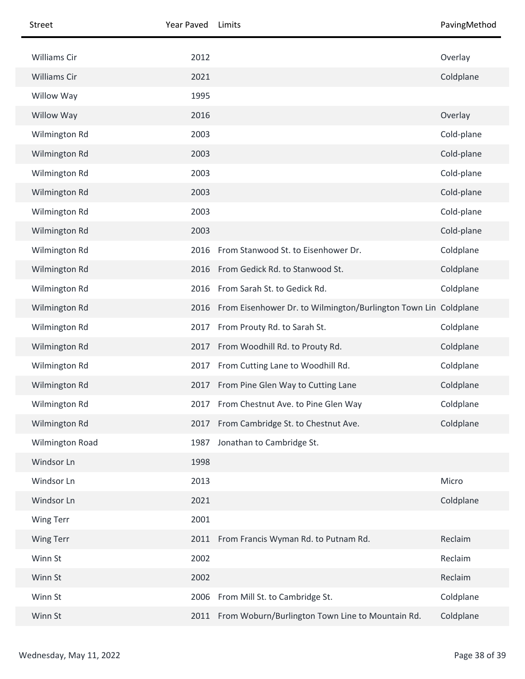| Street                 | Year Paved | Limits                                                          | PavingMethod |
|------------------------|------------|-----------------------------------------------------------------|--------------|
| Williams Cir           | 2012       |                                                                 | Overlay      |
| Williams Cir           | 2021       |                                                                 | Coldplane    |
| Willow Way             | 1995       |                                                                 |              |
| <b>Willow Way</b>      | 2016       |                                                                 | Overlay      |
| Wilmington Rd          | 2003       |                                                                 | Cold-plane   |
| Wilmington Rd          | 2003       |                                                                 | Cold-plane   |
| Wilmington Rd          | 2003       |                                                                 | Cold-plane   |
| Wilmington Rd          | 2003       |                                                                 | Cold-plane   |
| Wilmington Rd          | 2003       |                                                                 | Cold-plane   |
| Wilmington Rd          | 2003       |                                                                 | Cold-plane   |
| Wilmington Rd          | 2016       | From Stanwood St. to Eisenhower Dr.                             | Coldplane    |
| Wilmington Rd          | 2016       | From Gedick Rd. to Stanwood St.                                 | Coldplane    |
| Wilmington Rd          | 2016       | From Sarah St. to Gedick Rd.                                    | Coldplane    |
| Wilmington Rd          | 2016       | From Eisenhower Dr. to Wilmington/Burlington Town Lin Coldplane |              |
| Wilmington Rd          | 2017       | From Prouty Rd. to Sarah St.                                    | Coldplane    |
| Wilmington Rd          | 2017       | From Woodhill Rd. to Prouty Rd.                                 | Coldplane    |
| Wilmington Rd          | 2017       | From Cutting Lane to Woodhill Rd.                               | Coldplane    |
| Wilmington Rd          |            | 2017 From Pine Glen Way to Cutting Lane                         | Coldplane    |
| Wilmington Rd          |            | 2017 From Chestnut Ave. to Pine Glen Way                        | Coldplane    |
| Wilmington Rd          | 2017       | From Cambridge St. to Chestnut Ave.                             | Coldplane    |
| <b>Wilmington Road</b> | 1987       | Jonathan to Cambridge St.                                       |              |
| Windsor Ln             | 1998       |                                                                 |              |
| Windsor Ln             | 2013       |                                                                 | Micro        |
| Windsor Ln             | 2021       |                                                                 | Coldplane    |
| Wing Terr              | 2001       |                                                                 |              |
| Wing Terr              |            | 2011 From Francis Wyman Rd. to Putnam Rd.                       | Reclaim      |
| Winn St                | 2002       |                                                                 | Reclaim      |
| Winn St                | 2002       |                                                                 | Reclaim      |
| Winn St                | 2006       | From Mill St. to Cambridge St.                                  | Coldplane    |
| Winn St                | 2011       | From Woburn/Burlington Town Line to Mountain Rd.                | Coldplane    |